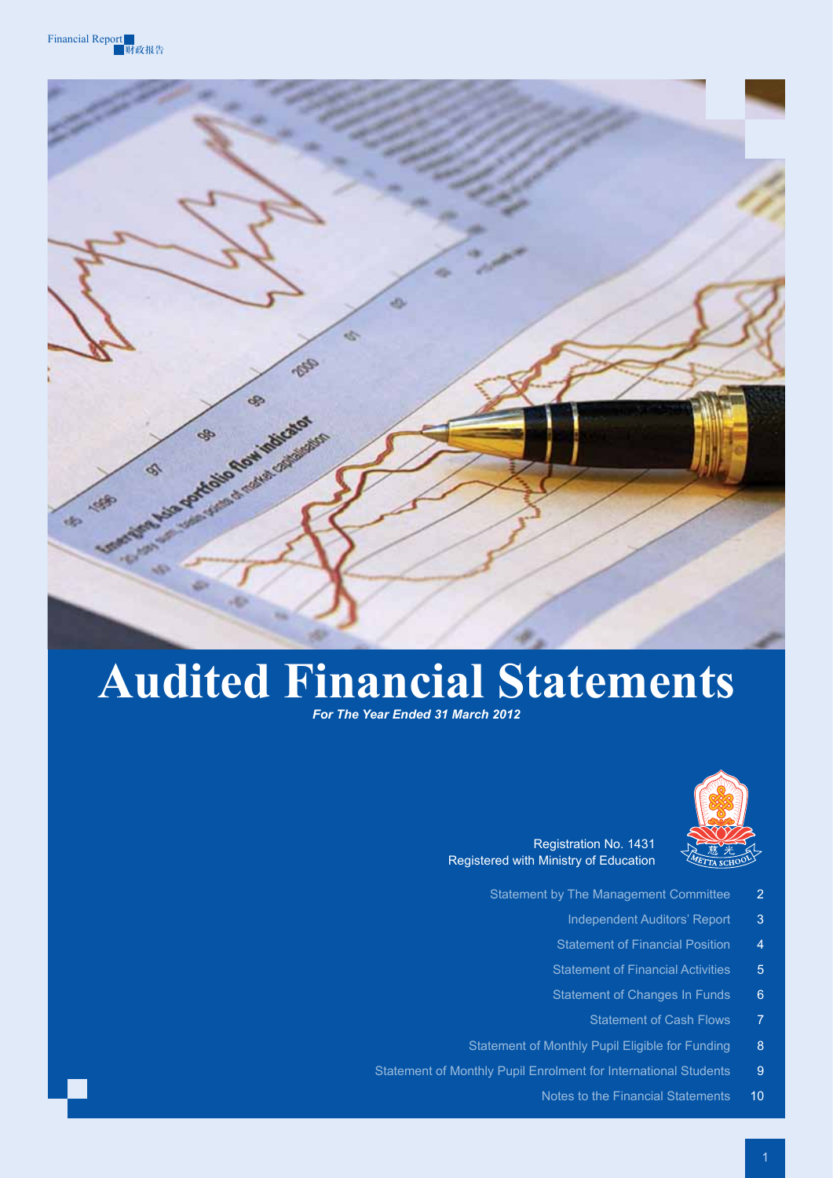

# **Audited Financial Statements**

*For The Year Ended 31 March 2012* 



Registration No. 1431 Registered with Ministry of Education

- Statement by The Management Committee 2
	- Independent Auditors' Report 3
	- Statement of Financial Position 4
	- Statement of Financial Activities 5
	- Statement of Changes In Funds 6
		- Statement of Cash Flows 7
- Statement of Monthly Pupil Eligible for Funding 8
- Statement of Monthly Pupil Enrolment for International Students 9
	- Notes to the Financial Statements 10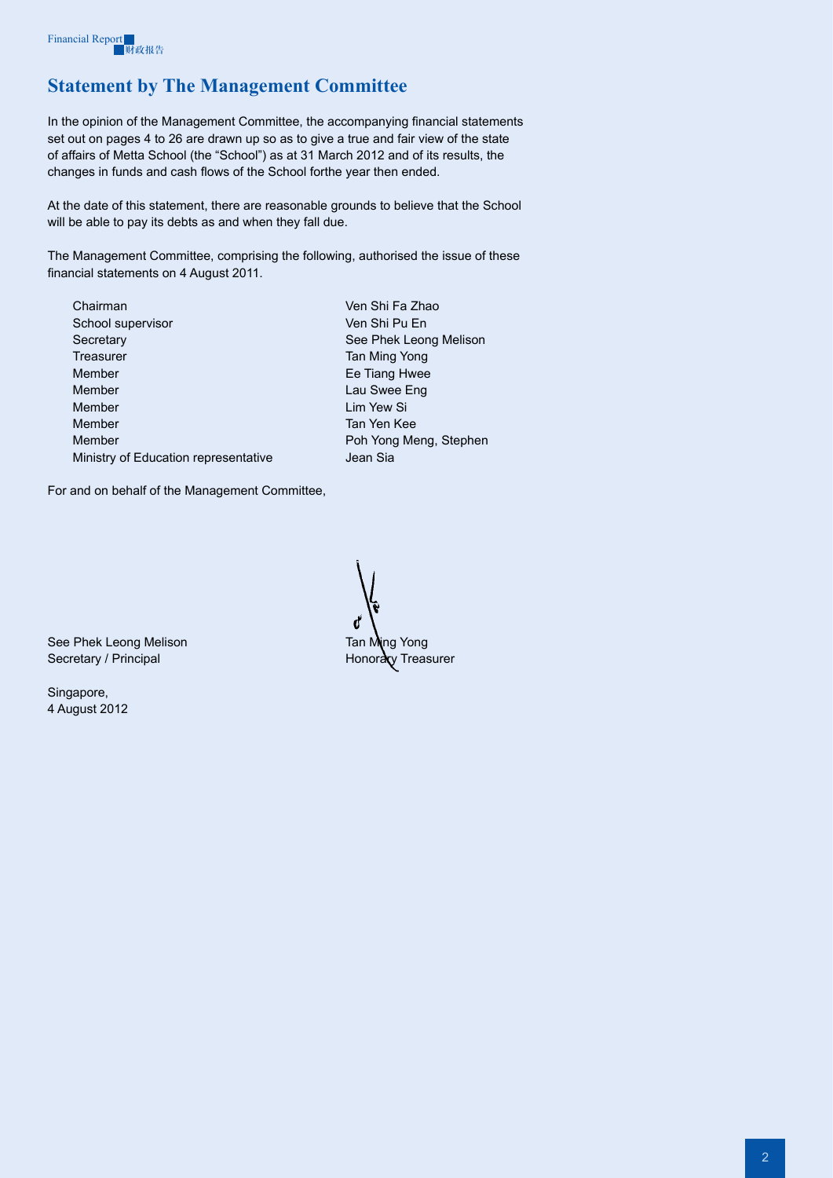

# **Statement by The Management Committee**

In the opinion of the Management Committee, the accompanying financial statements set out on pages 4 to 26 are drawn up so as to give a true and fair view of the state of affairs of Metta School (the "School") as at 31 March 2012 and of its results, the changes in funds and cash flows of the School forthe year then ended.

At the date of this statement, there are reasonable grounds to believe that the School will be able to pay its debts as and when they fall due.

The Management Committee, comprising the following, authorised the issue of these financial statements on 4 August 2011.

| Ven Shi Fa Zhao        |
|------------------------|
| Ven Shi Pu En          |
| See Phek Leong Melison |
| Tan Ming Yong          |
| Ee Tiang Hwee          |
| Lau Swee Eng           |
| Lim Yew Si             |
| Tan Yen Kee            |
| Poh Yong Meng, Stephen |
| Jean Sia               |
|                        |

For and on behalf of the Management Committee,

See Phek Leong Melison Tan Ming Yong Secretary / Principal Honorary Treasurer

Singapore, 4 August 2012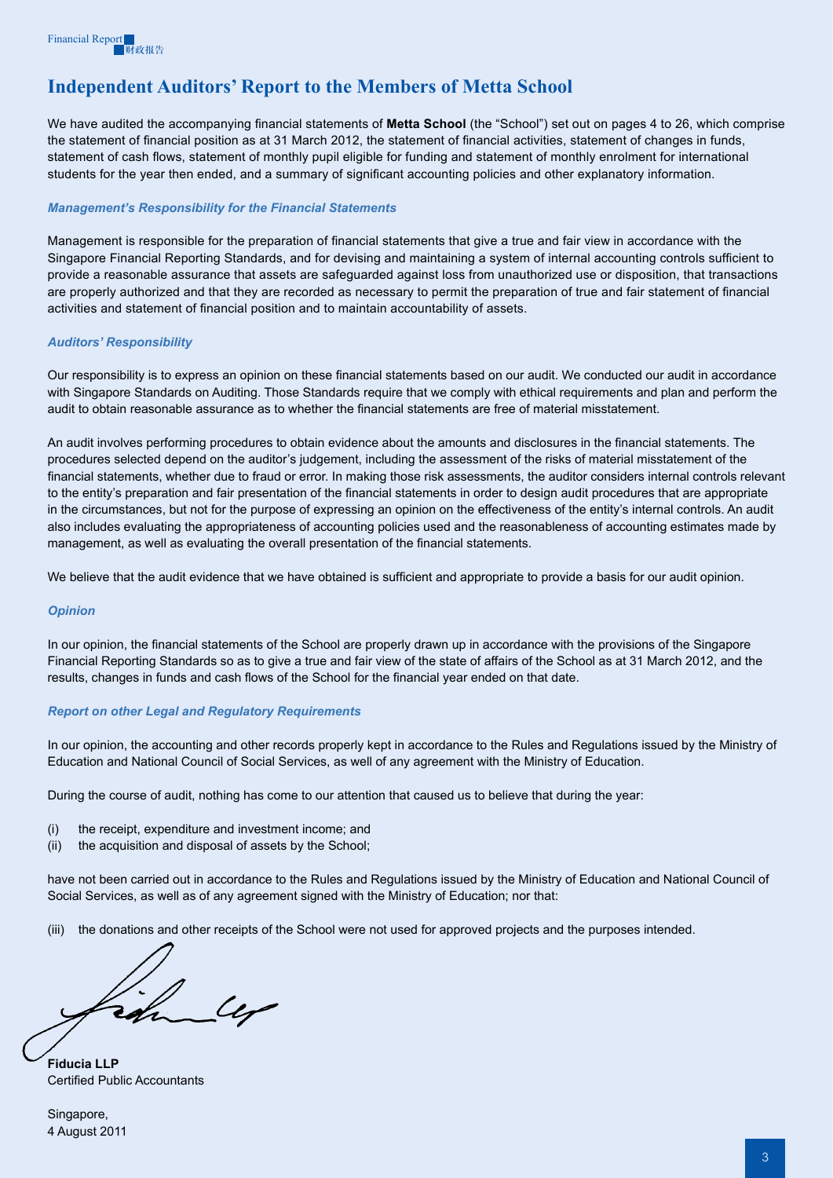# **Independent Auditors' Report to the Members of Metta School**

We have audited the accompanying financial statements of **Metta School** (the "School") set out on pages 4 to 26, which comprise the statement of financial position as at 31 March 2012, the statement of financial activities, statement of changes in funds, statement of cash flows, statement of monthly pupil eligible for funding and statement of monthly enrolment for international students for the year then ended, and a summary of significant accounting policies and other explanatory information.

#### *Management's Responsibility for the Financial Statements*

Management is responsible for the preparation of financial statements that give a true and fair view in accordance with the Singapore Financial Reporting Standards, and for devising and maintaining a system of internal accounting controls sufficient to provide a reasonable assurance that assets are safeguarded against loss from unauthorized use or disposition, that transactions are properly authorized and that they are recorded as necessary to permit the preparation of true and fair statement of financial activities and statement of financial position and to maintain accountability of assets.

#### *Auditors' Responsibility*

Our responsibility is to express an opinion on these financial statements based on our audit. We conducted our audit in accordance with Singapore Standards on Auditing. Those Standards require that we comply with ethical requirements and plan and perform the audit to obtain reasonable assurance as to whether the financial statements are free of material misstatement.

An audit involves performing procedures to obtain evidence about the amounts and disclosures in the financial statements. The procedures selected depend on the auditor's judgement, including the assessment of the risks of material misstatement of the financial statements, whether due to fraud or error. In making those risk assessments, the auditor considers internal controls relevant to the entity's preparation and fair presentation of the financial statements in order to design audit procedures that are appropriate in the circumstances, but not for the purpose of expressing an opinion on the effectiveness of the entity's internal controls. An audit also includes evaluating the appropriateness of accounting policies used and the reasonableness of accounting estimates made by management, as well as evaluating the overall presentation of the financial statements.

We believe that the audit evidence that we have obtained is sufficient and appropriate to provide a basis for our audit opinion.

#### *Opinion*

In our opinion, the financial statements of the School are properly drawn up in accordance with the provisions of the Singapore Financial Reporting Standards so as to give a true and fair view of the state of affairs of the School as at 31 March 2012, and the results, changes in funds and cash flows of the School for the financial year ended on that date.

#### *Report on other Legal and Regulatory Requirements*

In our opinion, the accounting and other records properly kept in accordance to the Rules and Regulations issued by the Ministry of Education and National Council of Social Services, as well of any agreement with the Ministry of Education.

During the course of audit, nothing has come to our attention that caused us to believe that during the year:

- (i) the receipt, expenditure and investment income; and
- (ii) the acquisition and disposal of assets by the School;

have not been carried out in accordance to the Rules and Regulations issued by the Ministry of Education and National Council of Social Services, as well as of any agreement signed with the Ministry of Education; nor that:

(iii) the donations and other receipts of the School were not used for approved projects and the purposes intended.

 $\mu$ 

**Fiducia LLP** Certified Public Accountants

Singapore, 4 August 2011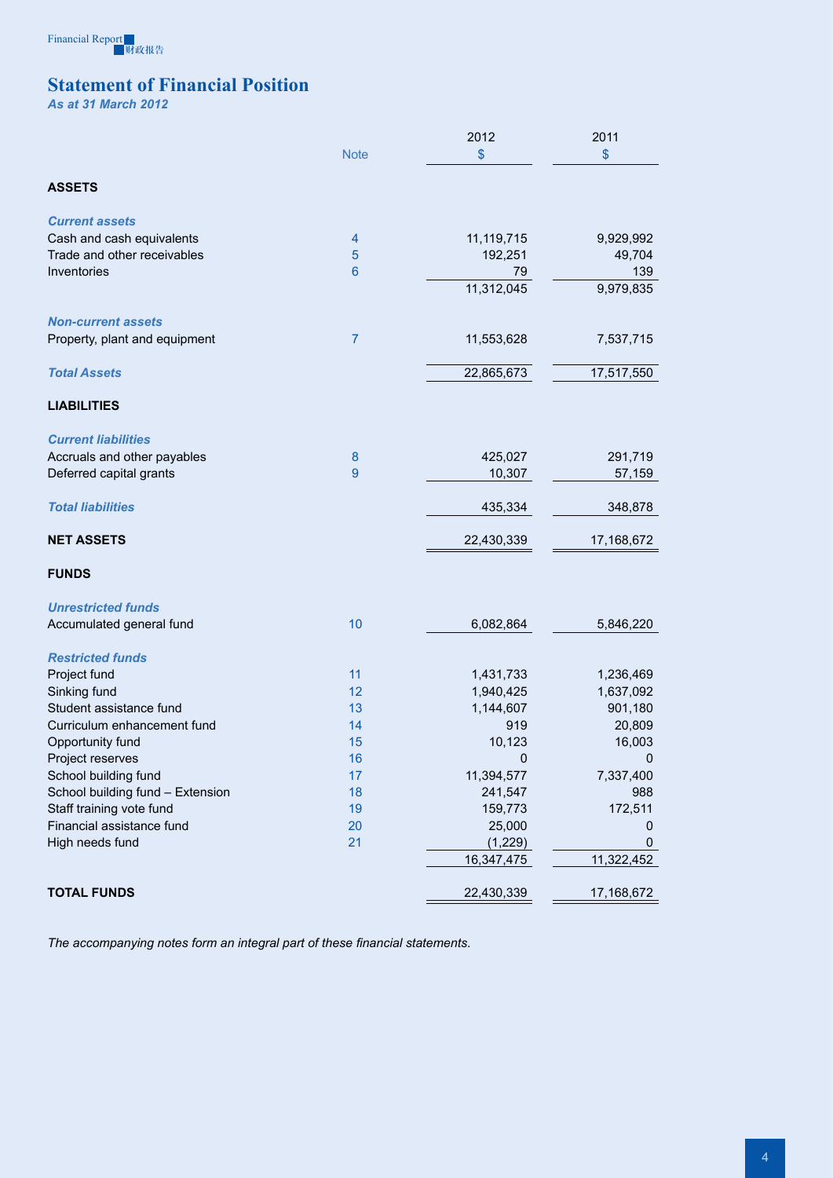

# **Statement of Financial Position**

*As at 31 March 2012* 

|                                  |                  | 2012           | 2011           |
|----------------------------------|------------------|----------------|----------------|
|                                  | <b>Note</b>      | \$             | \$             |
|                                  |                  |                |                |
| <b>ASSETS</b>                    |                  |                |                |
| <b>Current assets</b>            |                  |                |                |
| Cash and cash equivalents        | $\overline{4}$   | 11,119,715     | 9,929,992      |
| Trade and other receivables      | 5                | 192,251        | 49,704         |
| Inventories                      | $6\phantom{1}6$  | 79             | 139            |
|                                  |                  | 11,312,045     | 9,979,835      |
| <b>Non-current assets</b>        |                  |                |                |
| Property, plant and equipment    | $\overline{7}$   | 11,553,628     | 7,537,715      |
| <b>Total Assets</b>              |                  | 22,865,673     | 17,517,550     |
| <b>LIABILITIES</b>               |                  |                |                |
| <b>Current liabilities</b>       |                  |                |                |
| Accruals and other payables      | $\boldsymbol{8}$ | 425,027        | 291,719        |
| Deferred capital grants          | 9                | 10,307         | 57,159         |
|                                  |                  |                |                |
| <b>Total liabilities</b>         |                  | 435,334        | 348,878        |
| <b>NET ASSETS</b>                |                  | 22,430,339     | 17,168,672     |
| <b>FUNDS</b>                     |                  |                |                |
| <b>Unrestricted funds</b>        |                  |                |                |
| Accumulated general fund         | 10               | 6,082,864      | 5,846,220      |
| <b>Restricted funds</b>          |                  |                |                |
| Project fund                     | 11               | 1,431,733      | 1,236,469      |
| Sinking fund                     | 12               | 1,940,425      | 1,637,092      |
| Student assistance fund          | 13               | 1,144,607      | 901,180        |
| Curriculum enhancement fund      | 14               | 919            | 20,809         |
| Opportunity fund                 | 15               | 10,123         | 16,003         |
| Project reserves                 | 16               | $\overline{0}$ | $\overline{0}$ |
| School building fund             | 17               | 11,394,577     | 7,337,400      |
| School building fund - Extension | 18               | 241,547        | 988            |
| Staff training vote fund         | 19               | 159,773        | 172,511        |
| Financial assistance fund        | 20               | 25,000         | 0              |
| High needs fund                  | 21               | (1, 229)       | $\mathbf 0$    |
|                                  |                  | 16,347,475     | 11,322,452     |
| <b>TOTAL FUNDS</b>               |                  | 22,430,339     | 17,168,672     |

*The accompanying notes form an integral part of these financial statements.*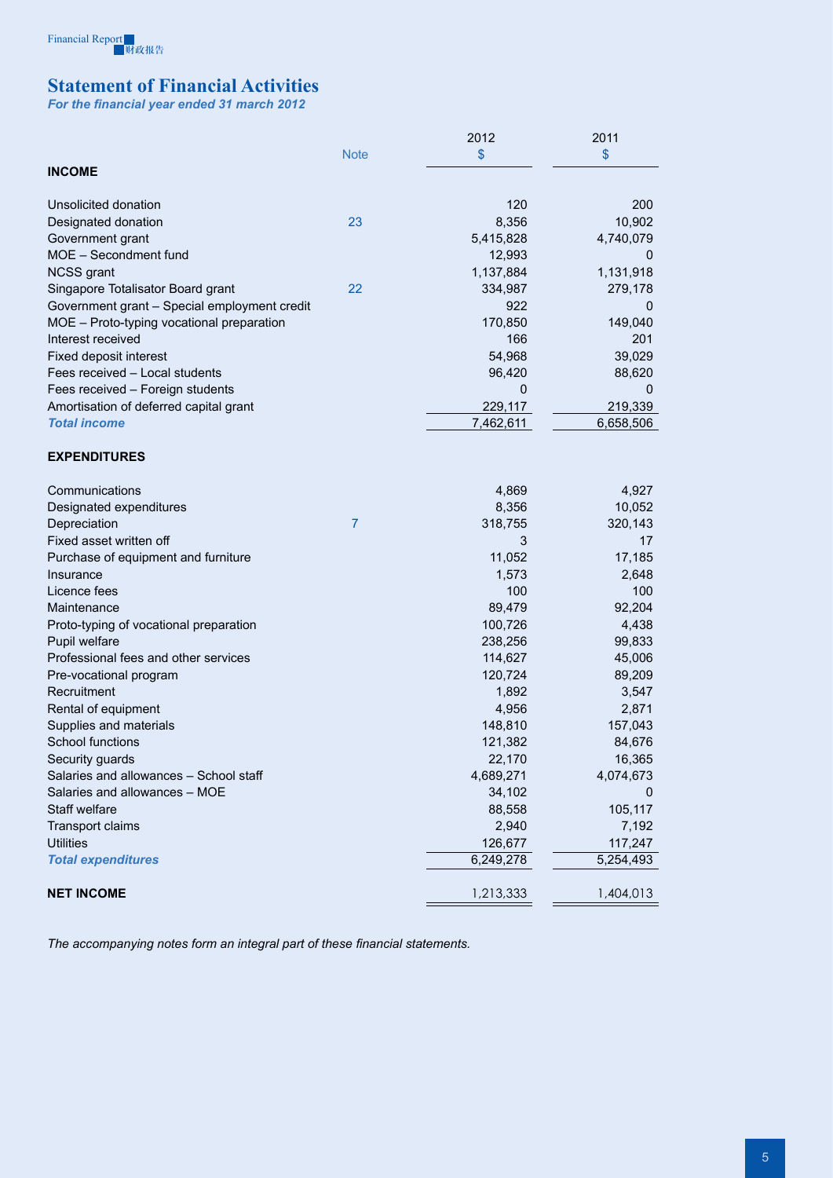

# **Statement of Financial Activities**

*For the financial year ended 31 march 2012*

|                                              |                | 2012      | 2011      |
|----------------------------------------------|----------------|-----------|-----------|
|                                              | <b>Note</b>    | \$        | \$        |
| <b>INCOME</b>                                |                |           |           |
| Unsolicited donation                         |                | 120       | 200       |
| Designated donation                          | 23             | 8,356     | 10,902    |
| Government grant                             |                | 5,415,828 | 4,740,079 |
| MOE - Secondment fund                        |                | 12,993    | 0         |
| <b>NCSS</b> grant                            |                | 1,137,884 | 1,131,918 |
| Singapore Totalisator Board grant            | 22             | 334,987   | 279,178   |
| Government grant - Special employment credit |                | 922       | 0         |
| MOE - Proto-typing vocational preparation    |                | 170,850   | 149,040   |
| Interest received                            |                | 166       | 201       |
| Fixed deposit interest                       |                | 54,968    | 39,029    |
| Fees received - Local students               |                | 96,420    | 88,620    |
| Fees received - Foreign students             |                | 0         | 0         |
| Amortisation of deferred capital grant       |                | 229,117   | 219,339   |
| <b>Total income</b>                          |                | 7,462,611 | 6,658,506 |
|                                              |                |           |           |
| <b>EXPENDITURES</b>                          |                |           |           |
| Communications                               |                | 4,869     | 4,927     |
| Designated expenditures                      |                | 8,356     | 10,052    |
| Depreciation                                 | $\overline{7}$ | 318,755   | 320,143   |
| Fixed asset written off                      |                | 3         | 17        |
| Purchase of equipment and furniture          |                | 11,052    | 17,185    |
| Insurance                                    |                | 1,573     | 2,648     |
| Licence fees                                 |                | 100       | 100       |
| Maintenance                                  |                | 89,479    | 92,204    |
| Proto-typing of vocational preparation       |                | 100,726   | 4,438     |
| Pupil welfare                                |                | 238,256   | 99,833    |
| Professional fees and other services         |                | 114,627   | 45,006    |
| Pre-vocational program                       |                | 120,724   | 89,209    |
| Recruitment                                  |                | 1,892     | 3,547     |
| Rental of equipment                          |                | 4,956     | 2,871     |
| Supplies and materials                       |                | 148,810   | 157,043   |
| School functions                             |                | 121,382   | 84,676    |
| Security guards                              |                | 22,170    | 16,365    |
| Salaries and allowances - School staff       |                | 4,689,271 | 4,074,673 |
| Salaries and allowances - MOE                |                | 34,102    | 0         |
| Staff welfare                                |                | 88,558    | 105,117   |
| <b>Transport claims</b>                      |                | 2,940     | 7,192     |
| <b>Utilities</b>                             |                | 126,677   | 117,247   |
| <b>Total expenditures</b>                    |                | 6,249,278 | 5,254,493 |
|                                              |                |           |           |
| <b>NET INCOME</b>                            |                | 1,213,333 | 1,404,013 |

*The accompanying notes form an integral part of these financial statements.*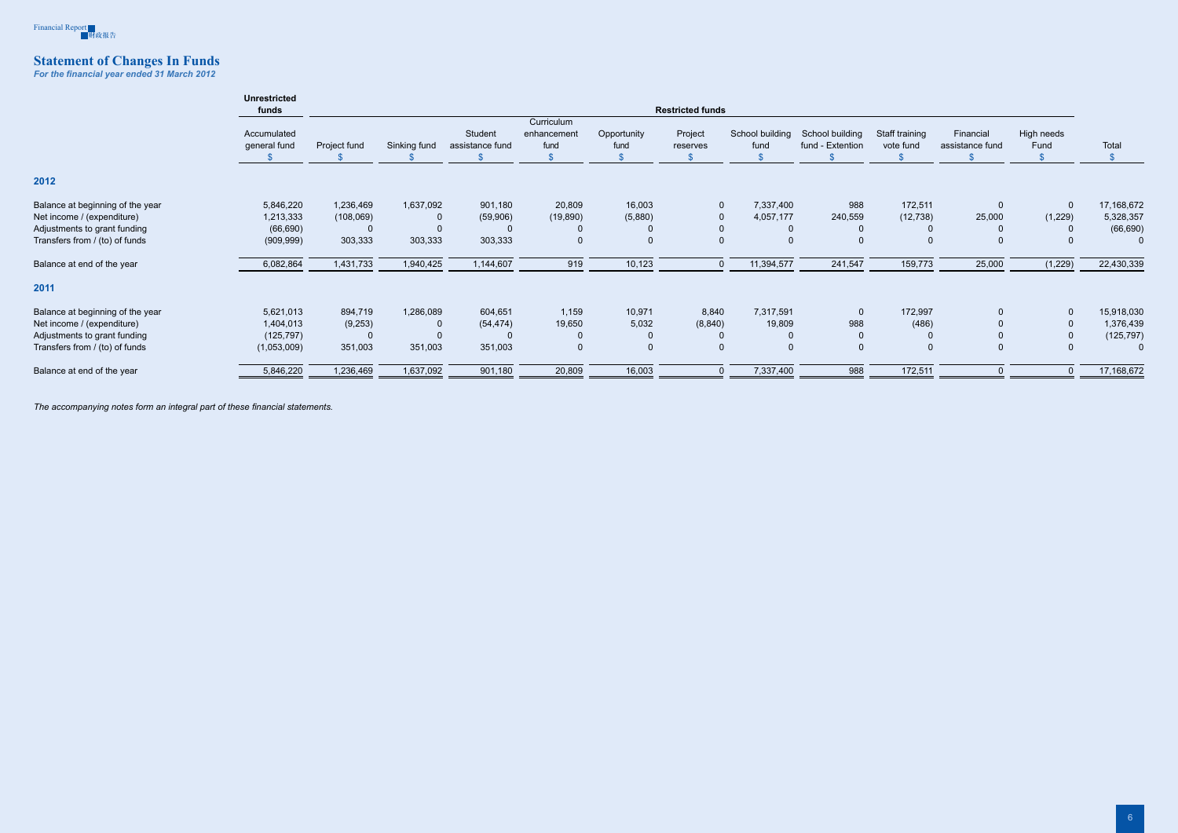

# **Statement of Changes In Funds**

*For the financial year ended 31 March 2012* 

| <b>Unrestricted</b><br>funds |                                      |                      |                 |                                                                                                 |              |          |                 |                                                                             |                                                                                                                  |                 |                                                                                                                       |            |
|------------------------------|--------------------------------------|----------------------|-----------------|-------------------------------------------------------------------------------------------------|--------------|----------|-----------------|-----------------------------------------------------------------------------|------------------------------------------------------------------------------------------------------------------|-----------------|-----------------------------------------------------------------------------------------------------------------------|------------|
|                              |                                      |                      |                 | Curriculum                                                                                      |              |          |                 |                                                                             |                                                                                                                  |                 |                                                                                                                       |            |
| Accumulated                  |                                      |                      | Student         | enhancement                                                                                     | Opportunity  | Project  | School building | School building                                                             | Staff training                                                                                                   |                 | High needs                                                                                                            |            |
| general fund                 | Project fund                         | Sinking fund         | assistance fund | fund                                                                                            | fund         | reserves | fund            | fund - Extention                                                            | vote fund                                                                                                        | assistance fund | Fund                                                                                                                  | Total      |
|                              |                                      |                      |                 |                                                                                                 |              |          |                 |                                                                             |                                                                                                                  |                 |                                                                                                                       |            |
|                              |                                      |                      |                 |                                                                                                 |              |          |                 |                                                                             |                                                                                                                  |                 |                                                                                                                       |            |
| 5,846,220                    | 1,236,469                            |                      | 901,180         | 20,809                                                                                          | 16,003       |          |                 | 988                                                                         |                                                                                                                  | $\mathbf{0}$    |                                                                                                                       | 17,168,672 |
|                              |                                      | 0                    |                 |                                                                                                 |              |          |                 | 240,559                                                                     |                                                                                                                  |                 |                                                                                                                       | 5,328,357  |
|                              |                                      |                      |                 |                                                                                                 |              |          |                 |                                                                             |                                                                                                                  |                 |                                                                                                                       | (66, 690)  |
| (909, 999)                   | 303,333                              |                      | 303,333         |                                                                                                 |              |          |                 |                                                                             |                                                                                                                  |                 |                                                                                                                       |            |
| 6,082,864                    | 1,431,733                            |                      | 1,144,607       | 919                                                                                             | 10,123       |          |                 | 241,547                                                                     |                                                                                                                  | 25,000          | (1,229)                                                                                                               | 22,430,339 |
|                              |                                      |                      |                 |                                                                                                 |              |          |                 |                                                                             |                                                                                                                  |                 |                                                                                                                       |            |
| 5,621,013                    | 894,719                              |                      | 604,651         | 1,159                                                                                           | 10,971       |          |                 | $\overline{0}$                                                              |                                                                                                                  |                 |                                                                                                                       | 15,918,030 |
| 1,404,013                    |                                      | 0                    |                 | 19,650                                                                                          | 5,032        |          |                 | 988                                                                         |                                                                                                                  |                 |                                                                                                                       | 1,376,439  |
|                              |                                      |                      |                 |                                                                                                 |              |          |                 |                                                                             |                                                                                                                  |                 |                                                                                                                       | (125, 797) |
| (1,053,009)                  | 351,003                              |                      | 351,003         |                                                                                                 | $\mathbf{0}$ |          |                 | $\Omega$                                                                    |                                                                                                                  |                 |                                                                                                                       |            |
| 5,846,220                    | 1,236,469                            |                      | 901,180         | 20,809                                                                                          | 16,003       |          |                 | 988                                                                         |                                                                                                                  |                 |                                                                                                                       | 17,168,672 |
|                              | 1,213,333<br>(66, 690)<br>(125, 797) | (108,069)<br>(9,253) |                 | 1,637,092<br>(59,906)<br>303,333<br>1,940,425<br>1,286,089<br>(54, 474)<br>351,003<br>1,637,092 | (19, 890)    | (5,880)  |                 | <b>Restricted funds</b><br>$\mathbf 0$<br>$\mathbf{0}$<br>8,840<br>(8, 840) | 7,337,400<br>4,057,177<br>$\Omega$<br>11,394,577<br>7,317,591<br>19,809<br>$\Omega$<br>$\mathbf{0}$<br>7,337,400 |                 | Financial<br>172,511<br>(12, 738)<br>25,000<br>$\mathbf{0}$<br>159,773<br>172,997<br>(486)<br>$\mathbf{0}$<br>172,511 | (1,229)    |

*The accompanying notes form an integral part of these financial statements.*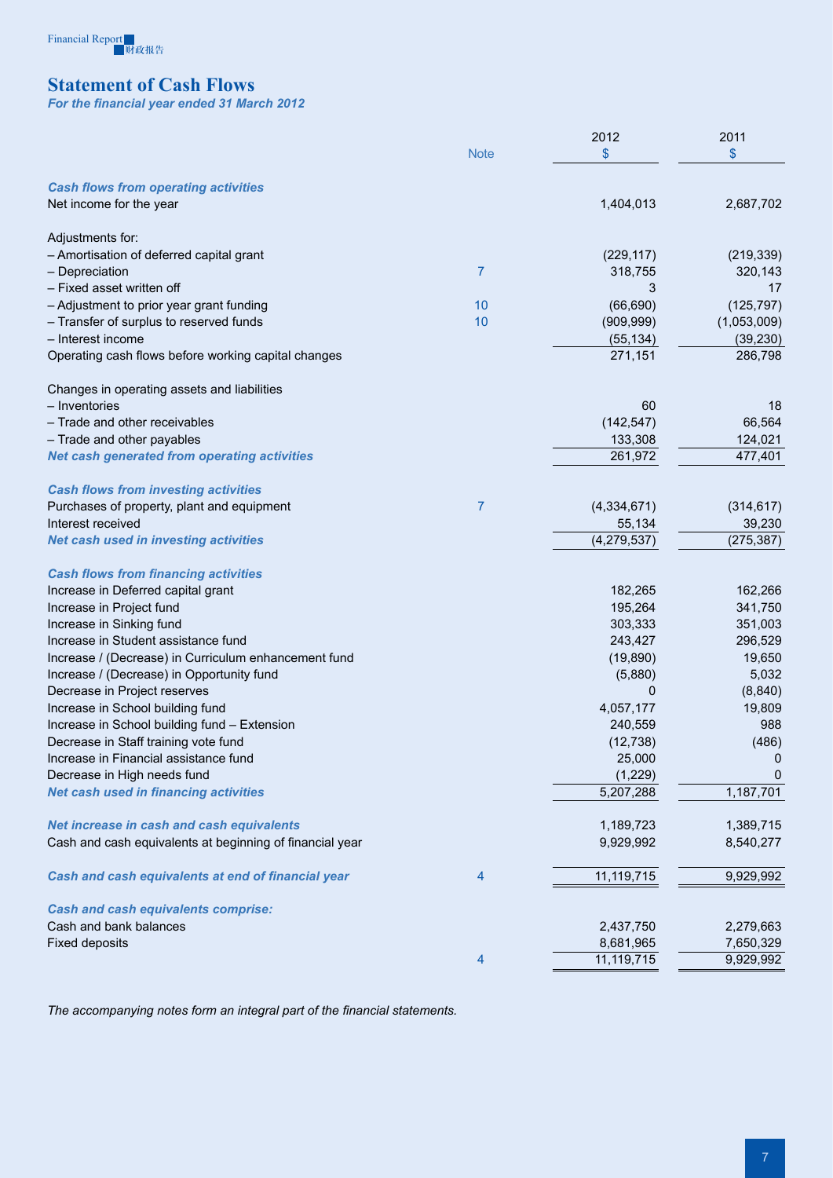# Financial Report<br>图财政报告

# **Statement of Cash Flows**

*For the financial year ended 31 March 2012*

|                                                          | <b>Note</b> | 2012<br>\$    | 2011<br>\$  |
|----------------------------------------------------------|-------------|---------------|-------------|
|                                                          |             |               |             |
| <b>Cash flows from operating activities</b>              |             |               |             |
| Net income for the year                                  |             | 1,404,013     | 2,687,702   |
| Adjustments for:                                         |             |               |             |
| - Amortisation of deferred capital grant                 |             | (229, 117)    | (219, 339)  |
| - Depreciation                                           | 7           | 318,755       | 320,143     |
| - Fixed asset written off                                |             | 3             | 17          |
| - Adjustment to prior year grant funding                 | 10          | (66, 690)     | (125, 797)  |
| - Transfer of surplus to reserved funds                  | 10          | (909, 999)    | (1,053,009) |
| - Interest income                                        |             | (55, 134)     | (39, 230)   |
| Operating cash flows before working capital changes      |             | 271,151       | 286,798     |
| Changes in operating assets and liabilities              |             |               |             |
| - Inventories                                            |             | 60            | 18          |
| - Trade and other receivables                            |             | (142, 547)    | 66,564      |
| - Trade and other payables                               |             | 133,308       | 124,021     |
| <b>Net cash generated from operating activities</b>      |             | 261,972       | 477,401     |
| <b>Cash flows from investing activities</b>              |             |               |             |
| Purchases of property, plant and equipment               | 7           | (4,334,671)   | (314, 617)  |
| Interest received                                        |             | 55,134        | 39,230      |
| <b>Net cash used in investing activities</b>             |             | (4, 279, 537) | (275, 387)  |
| <b>Cash flows from financing activities</b>              |             |               |             |
| Increase in Deferred capital grant                       |             | 182,265       | 162,266     |
| Increase in Project fund                                 |             | 195,264       | 341,750     |
| Increase in Sinking fund                                 |             | 303,333       | 351,003     |
| Increase in Student assistance fund                      |             | 243,427       | 296,529     |
| Increase / (Decrease) in Curriculum enhancement fund     |             | (19, 890)     | 19,650      |
| Increase / (Decrease) in Opportunity fund                |             | (5,880)       | 5,032       |
| Decrease in Project reserves                             |             | 0             | (8, 840)    |
| Increase in School building fund                         |             | 4,057,177     | 19,809      |
| Increase in School building fund - Extension             |             | 240,559       | 988         |
| Decrease in Staff training vote fund                     |             | (12, 738)     | (486)       |
| Increase in Financial assistance fund                    |             | 25,000        | $\Omega$    |
| Decrease in High needs fund                              |             | (1,229)       | 0           |
| <b>Net cash used in financing activities</b>             |             | 5,207,288     | 1,187,701   |
| Net increase in cash and cash equivalents                |             | 1,189,723     | 1,389,715   |
| Cash and cash equivalents at beginning of financial year |             | 9,929,992     | 8,540,277   |
| Cash and cash equivalents at end of financial year       | 4           | 11,119,715    | 9,929,992   |
| <b>Cash and cash equivalents comprise:</b>               |             |               |             |
| Cash and bank balances                                   |             | 2,437,750     | 2,279,663   |
| <b>Fixed deposits</b>                                    |             | 8,681,965     | 7,650,329   |
|                                                          | 4           | 11,119,715    | 9,929,992   |

*The accompanying notes form an integral part of the financial statements.*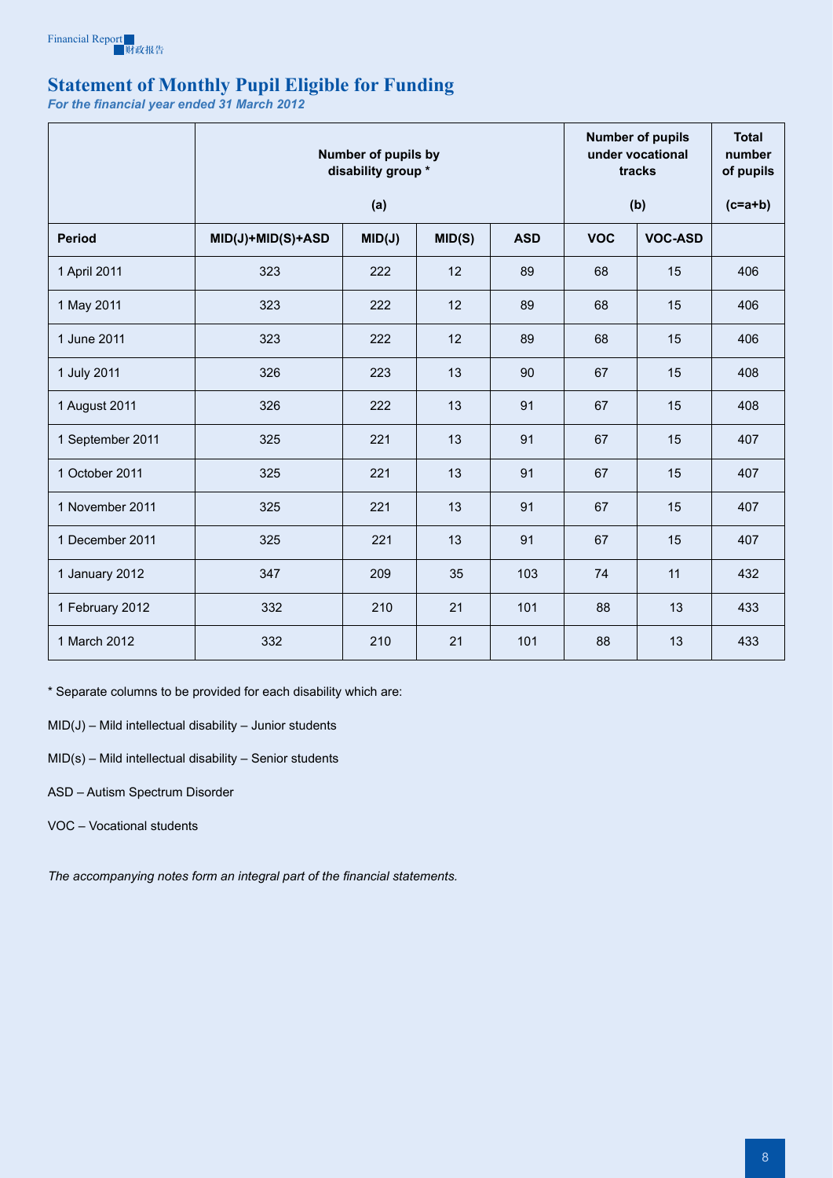

# **Statement of Monthly Pupil Eligible for Funding**

*For the financial year ended 31 March 2012*

|                  | Number of pupils by<br>disability group * |        |        |            |            | <b>Number of pupils</b><br>under vocational<br>tracks | <b>Total</b><br>number<br>of pupils |
|------------------|-------------------------------------------|--------|--------|------------|------------|-------------------------------------------------------|-------------------------------------|
|                  |                                           | (a)    |        |            |            | (b)                                                   | $(c=a+b)$                           |
| <b>Period</b>    | MID(J)+MID(S)+ASD                         | MID(J) | MID(S) | <b>ASD</b> | <b>VOC</b> | <b>VOC-ASD</b>                                        |                                     |
| 1 April 2011     | 323                                       | 222    | 12     | 89         | 68         | 15                                                    | 406                                 |
| 1 May 2011       | 323                                       | 222    | 12     | 89         | 68         | 15                                                    | 406                                 |
| 1 June 2011      | 323                                       | 222    | 12     | 89         | 68         | 15                                                    | 406                                 |
| 1 July 2011      | 326                                       | 223    | 13     | 90         | 67         | 15                                                    | 408                                 |
| 1 August 2011    | 326                                       | 222    | 13     | 91         | 67         | 15                                                    | 408                                 |
| 1 September 2011 | 325                                       | 221    | 13     | 91         | 67         | 15                                                    | 407                                 |
| 1 October 2011   | 325                                       | 221    | 13     | 91         | 67         | 15                                                    | 407                                 |
| 1 November 2011  | 325                                       | 221    | 13     | 91         | 67         | 15                                                    | 407                                 |
| 1 December 2011  | 325                                       | 221    | 13     | 91         | 67         | 15                                                    | 407                                 |
| 1 January 2012   | 347                                       | 209    | 35     | 103        | 74         | 11                                                    | 432                                 |
| 1 February 2012  | 332                                       | 210    | 21     | 101        | 88         | 13                                                    | 433                                 |
| 1 March 2012     | 332                                       | 210    | 21     | 101        | 88         | 13                                                    | 433                                 |

\* Separate columns to be provided for each disability which are:

MID(J) – Mild intellectual disability – Junior students

MID(s) – Mild intellectual disability – Senior students

ASD – Autism Spectrum Disorder

VOC – Vocational students

*The accompanying notes form an integral part of the financial statements.*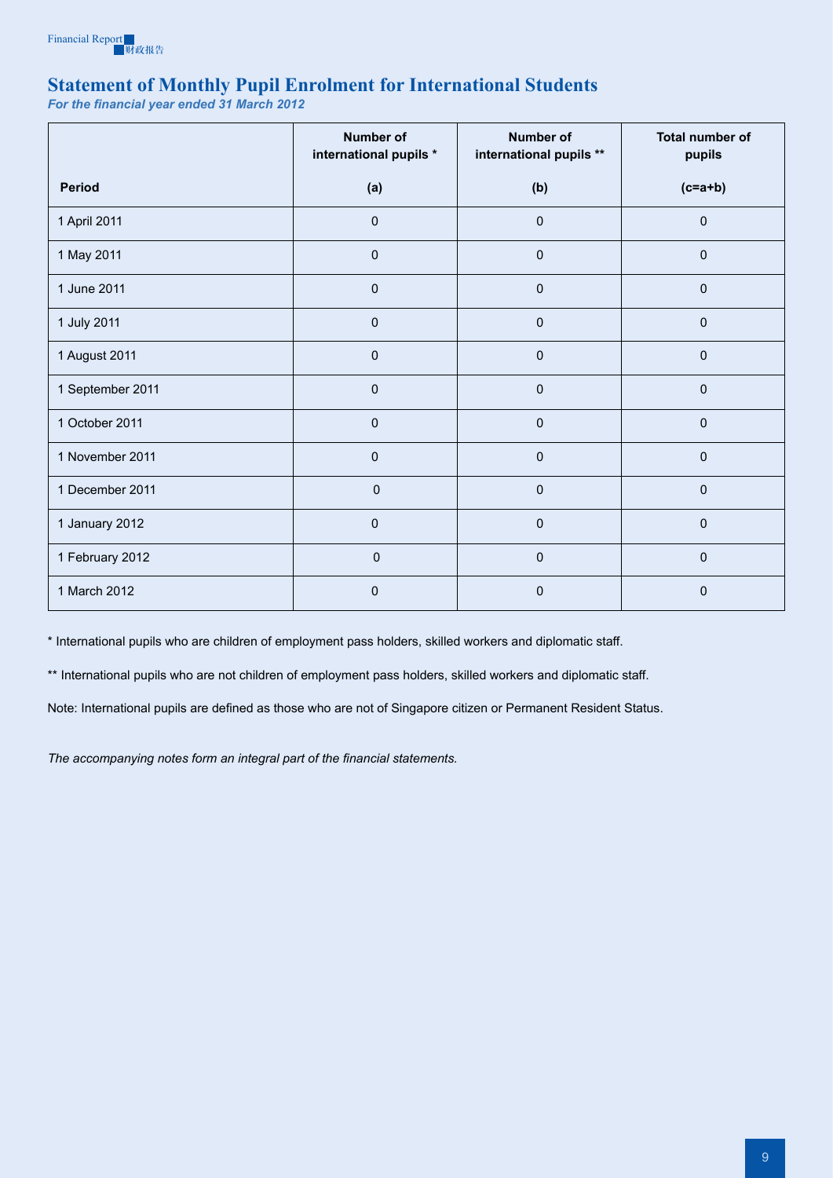

# **Statement of Monthly Pupil Enrolment for International Students**

*For the financial year ended 31 March 2012* 

|                  | <b>Number of</b><br>international pupils * | <b>Number of</b><br>international pupils ** | <b>Total number of</b><br>pupils |
|------------------|--------------------------------------------|---------------------------------------------|----------------------------------|
| <b>Period</b>    | (a)                                        | (b)                                         | $(c=a+b)$                        |
| 1 April 2011     | $\mathbf 0$                                | $\mathbf{0}$                                | $\mathbf{0}$                     |
| 1 May 2011       | $\pmb{0}$                                  | $\mathbf 0$                                 | $\mathbf{0}$                     |
| 1 June 2011      | $\mathbf 0$                                | $\mathbf 0$                                 | $\mathbf{0}$                     |
| 1 July 2011      | $\pmb{0}$                                  | $\mathbf 0$                                 | $\mathbf 0$                      |
| 1 August 2011    | $\pmb{0}$                                  | $\pmb{0}$                                   | $\pmb{0}$                        |
| 1 September 2011 | $\mathbf 0$                                | $\mathbf 0$                                 | $\mathbf 0$                      |
| 1 October 2011   | $\mathbf 0$                                | $\mathbf 0$                                 | $\mathbf 0$                      |
| 1 November 2011  | $\mathbf 0$                                | $\mathbf{0}$                                | $\mathbf{0}$                     |
| 1 December 2011  | $\pmb{0}$                                  | $\pmb{0}$                                   | $\pmb{0}$                        |
| 1 January 2012   | $\mathbf 0$                                | $\mathbf{0}$                                | $\mathbf{0}$                     |
| 1 February 2012  | $\mathbf 0$                                | $\mathbf{0}$                                | $\mathbf{0}$                     |
| 1 March 2012     | $\mathbf 0$                                | $\mathbf 0$                                 | 0                                |

\* International pupils who are children of employment pass holders, skilled workers and diplomatic staff.

\*\* International pupils who are not children of employment pass holders, skilled workers and diplomatic staff.

Note: International pupils are defined as those who are not of Singapore citizen or Permanent Resident Status.

*The accompanying notes form an integral part of the financial statements.*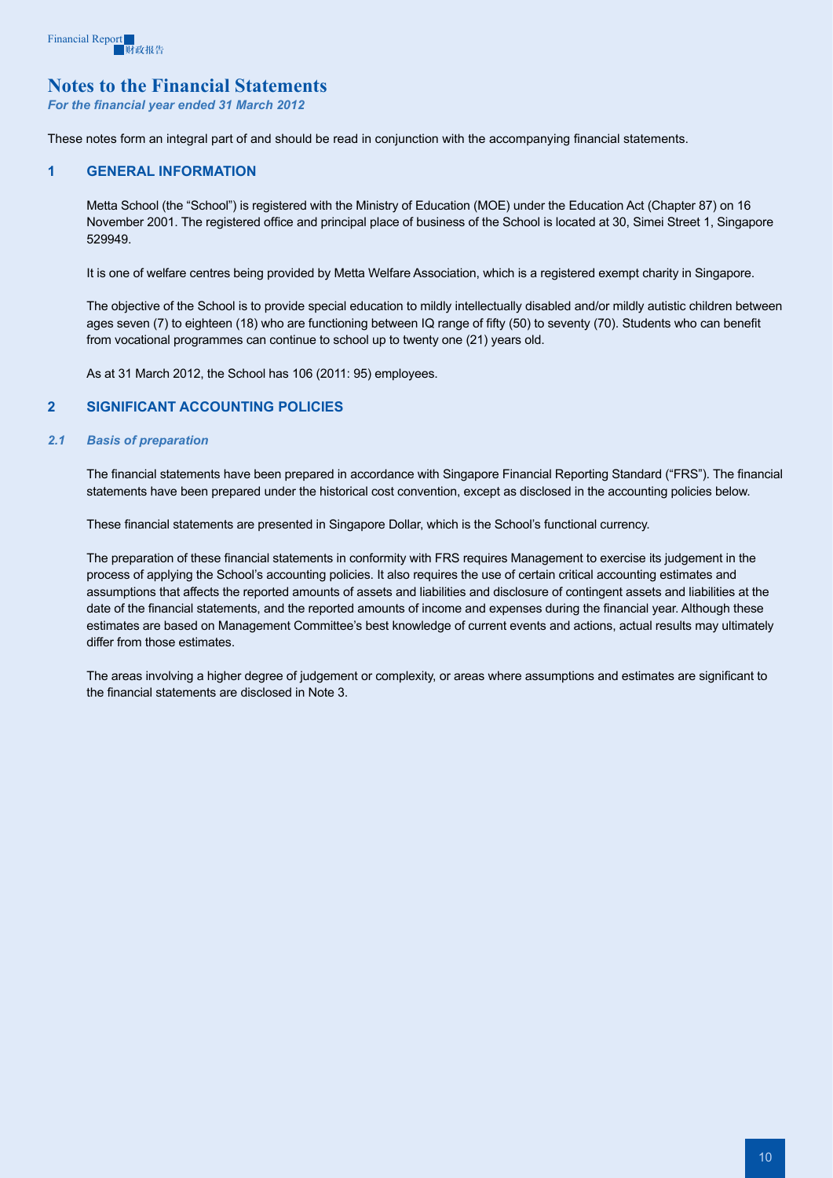

# **Notes to the Financial Statements**

*For the financial year ended 31 March 2012* 

These notes form an integral part of and should be read in conjunction with the accompanying financial statements.

#### **1 GENERAL INFORMATION**

Metta School (the "School") is registered with the Ministry of Education (MOE) under the Education Act (Chapter 87) on 16 November 2001. The registered office and principal place of business of the School is located at 30, Simei Street 1, Singapore 529949.

It is one of welfare centres being provided by Metta Welfare Association, which is a registered exempt charity in Singapore.

The objective of the School is to provide special education to mildly intellectually disabled and/or mildly autistic children between ages seven (7) to eighteen (18) who are functioning between IQ range of fifty (50) to seventy (70). Students who can benefit from vocational programmes can continue to school up to twenty one (21) years old.

As at 31 March 2012, the School has 106 (2011: 95) employees.

#### **2 Significant accounting policies**

#### *2.1 Basis of preparation*

The financial statements have been prepared in accordance with Singapore Financial Reporting Standard ("FRS"). The financial statements have been prepared under the historical cost convention, except as disclosed in the accounting policies below.

These financial statements are presented in Singapore Dollar, which is the School's functional currency.

The preparation of these financial statements in conformity with FRS requires Management to exercise its judgement in the process of applying the School's accounting policies. It also requires the use of certain critical accounting estimates and assumptions that affects the reported amounts of assets and liabilities and disclosure of contingent assets and liabilities at the date of the financial statements, and the reported amounts of income and expenses during the financial year. Although these estimates are based on Management Committee's best knowledge of current events and actions, actual results may ultimately differ from those estimates.

The areas involving a higher degree of judgement or complexity, or areas where assumptions and estimates are significant to the financial statements are disclosed in Note 3.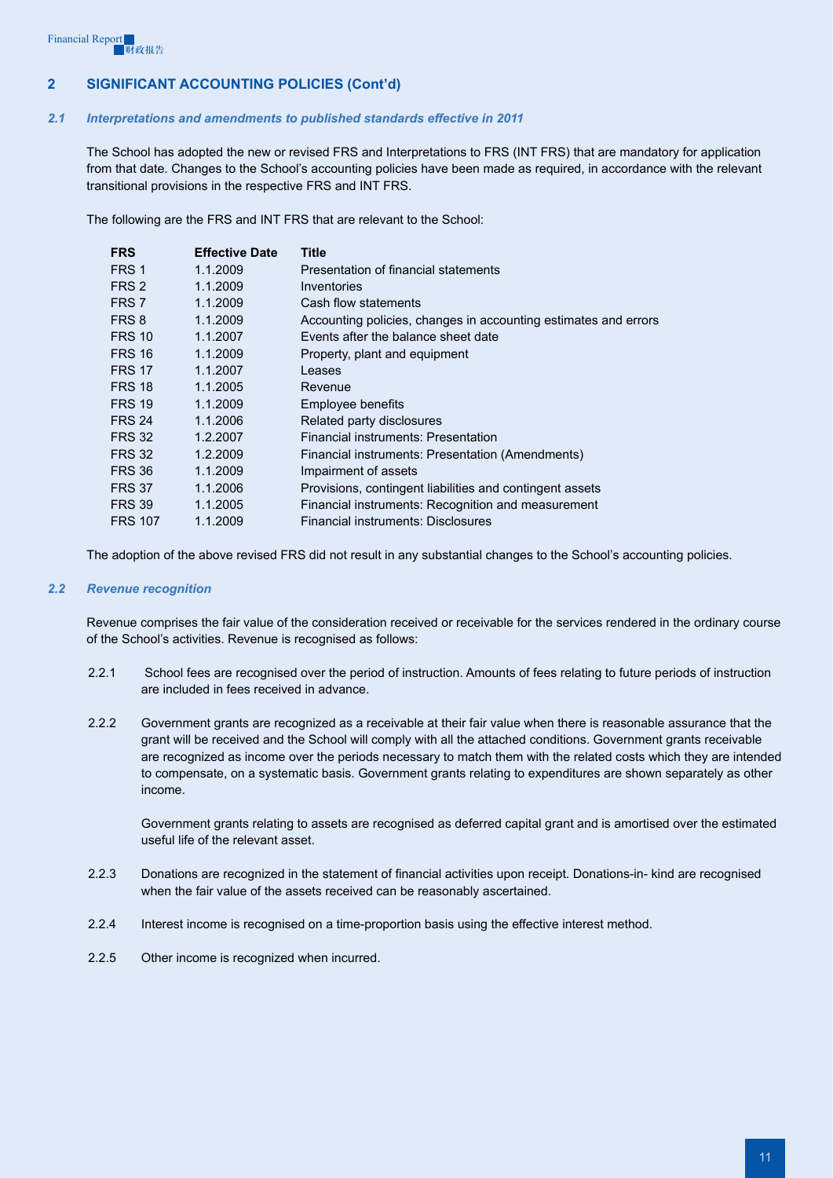#### *2.1 Interpretations and amendments to published standards effective in 2011*

The School has adopted the new or revised FRS and Interpretations to FRS (INT FRS) that are mandatory for application from that date. Changes to the School's accounting policies have been made as required, in accordance with the relevant transitional provisions in the respective FRS and INT FRS.

The following are the FRS and INT FRS that are relevant to the School:

| <b>FRS</b>       | <b>Effective Date</b> | <b>Title</b>                                                    |
|------------------|-----------------------|-----------------------------------------------------------------|
| FRS <sub>1</sub> | 1.1.2009              | Presentation of financial statements                            |
| FRS 2            | 1.1.2009              | Inventories                                                     |
| FRS 7            | 1.1.2009              | Cash flow statements                                            |
| FRS 8            | 1.1.2009              | Accounting policies, changes in accounting estimates and errors |
| <b>FRS 10</b>    | 1.1.2007              | Events after the balance sheet date                             |
| <b>FRS 16</b>    | 1.1.2009              | Property, plant and equipment                                   |
| <b>FRS 17</b>    | 1.1.2007              | Leases                                                          |
| <b>FRS 18</b>    | 1.1.2005              | Revenue                                                         |
| <b>FRS 19</b>    | 1.1.2009              | Employee benefits                                               |
| <b>FRS 24</b>    | 1.1.2006              | Related party disclosures                                       |
| <b>FRS 32</b>    | 1.2.2007              | Financial instruments: Presentation                             |
| <b>FRS 32</b>    | 1.2.2009              | Financial instruments: Presentation (Amendments)                |
| <b>FRS 36</b>    | 1.1.2009              | Impairment of assets                                            |
| <b>FRS 37</b>    | 1.1.2006              | Provisions, contingent liabilities and contingent assets        |
| <b>FRS 39</b>    | 1.1.2005              | Financial instruments: Recognition and measurement              |
| <b>FRS 107</b>   | 1.1.2009              | Financial instruments: Disclosures                              |

The adoption of the above revised FRS did not result in any substantial changes to the School's accounting policies.

#### *2.2 Revenue recognition*

Revenue comprises the fair value of the consideration received or receivable for the services rendered in the ordinary course of the School's activities. Revenue is recognised as follows:

- 2.2.1 School fees are recognised over the period of instruction. Amounts of fees relating to future periods of instruction are included in fees received in advance.
- 2.2.2 Government grants are recognized as a receivable at their fair value when there is reasonable assurance that the grant will be received and the School will comply with all the attached conditions. Government grants receivable are recognized as income over the periods necessary to match them with the related costs which they are intended to compensate, on a systematic basis. Government grants relating to expenditures are shown separately as other income.

Government grants relating to assets are recognised as deferred capital grant and is amortised over the estimated useful life of the relevant asset.

- 2.2.3 Donations are recognized in the statement of financial activities upon receipt. Donations-in- kind are recognised when the fair value of the assets received can be reasonably ascertained.
- 2.2.4 Interest income is recognised on a time-proportion basis using the effective interest method.
- 2.2.5 Other income is recognized when incurred.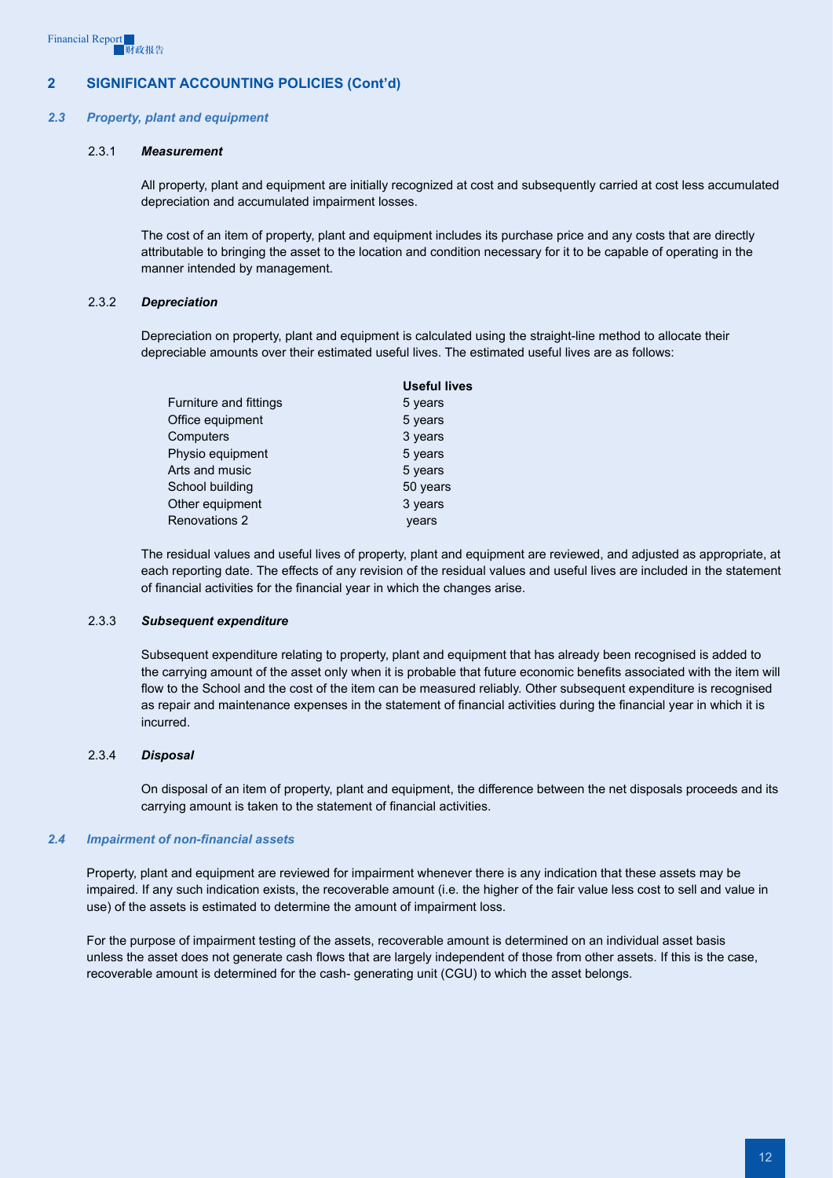#### *2.3 Property, plant and equipment*

#### 2.3.1 *Measurement*

All property, plant and equipment are initially recognized at cost and subsequently carried at cost less accumulated depreciation and accumulated impairment losses.

The cost of an item of property, plant and equipment includes its purchase price and any costs that are directly attributable to bringing the asset to the location and condition necessary for it to be capable of operating in the manner intended by management.

#### 2.3.2 *Depreciation*

Depreciation on property, plant and equipment is calculated using the straight-line method to allocate their depreciable amounts over their estimated useful lives. The estimated useful lives are as follows:

|                        | <b>Useful lives</b> |
|------------------------|---------------------|
| Furniture and fittings | 5 years             |
| Office equipment       | 5 years             |
| Computers              | 3 years             |
| Physio equipment       | 5 years             |
| Arts and music         | 5 years             |
| School building        | 50 years            |
| Other equipment        | 3 years             |
| Renovations 2          | vears               |
|                        |                     |

The residual values and useful lives of property, plant and equipment are reviewed, and adjusted as appropriate, at each reporting date. The effects of any revision of the residual values and useful lives are included in the statement of financial activities for the financial year in which the changes arise.

#### 2.3.3 *Subsequent expenditure*

Subsequent expenditure relating to property, plant and equipment that has already been recognised is added to the carrying amount of the asset only when it is probable that future economic benefits associated with the item will flow to the School and the cost of the item can be measured reliably. Other subsequent expenditure is recognised as repair and maintenance expenses in the statement of financial activities during the financial year in which it is incurred.

#### 2.3.4 *Disposal*

On disposal of an item of property, plant and equipment, the difference between the net disposals proceeds and its carrying amount is taken to the statement of financial activities.

#### *2.4 Impairment of non-financial assets*

Property, plant and equipment are reviewed for impairment whenever there is any indication that these assets may be impaired. If any such indication exists, the recoverable amount (i.e. the higher of the fair value less cost to sell and value in use) of the assets is estimated to determine the amount of impairment loss.

For the purpose of impairment testing of the assets, recoverable amount is determined on an individual asset basis unless the asset does not generate cash flows that are largely independent of those from other assets. If this is the case, recoverable amount is determined for the cash- generating unit (CGU) to which the asset belongs.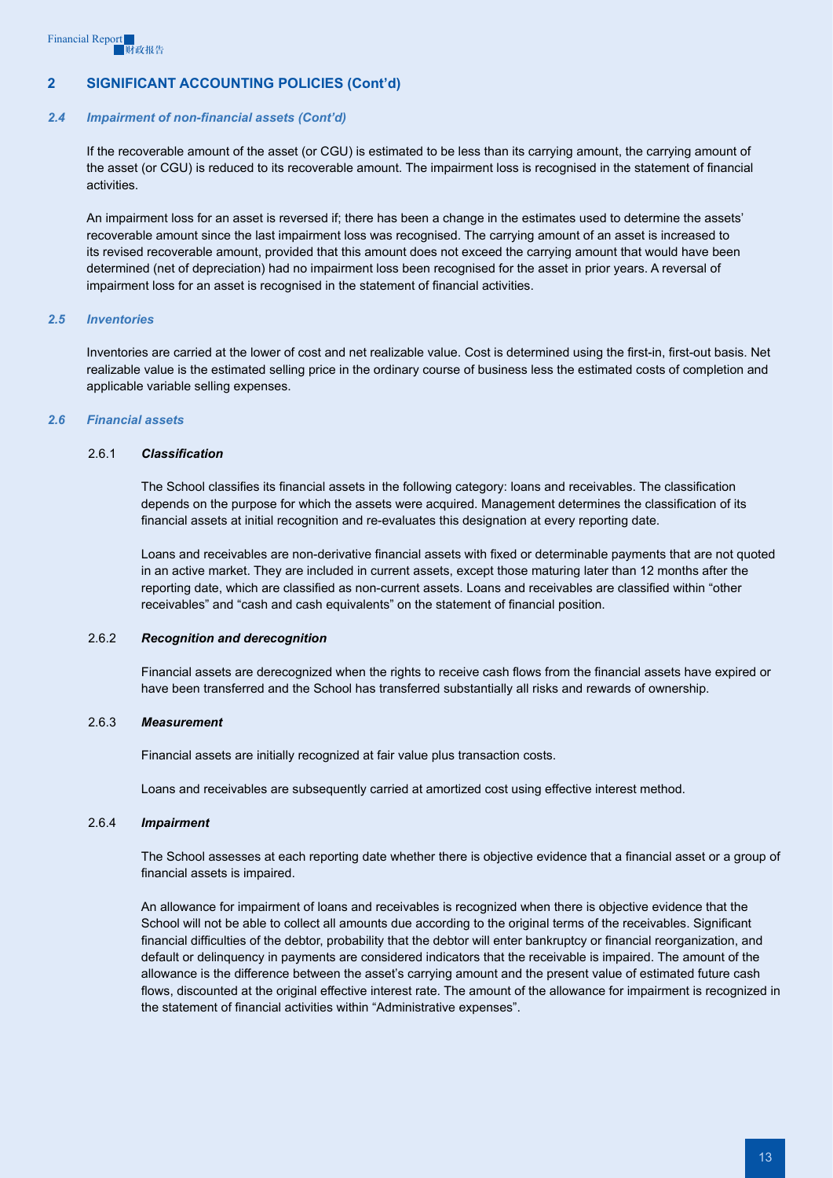#### *2.4 Impairment of non-financial assets (Cont'd)*

If the recoverable amount of the asset (or CGU) is estimated to be less than its carrying amount, the carrying amount of the asset (or CGU) is reduced to its recoverable amount. The impairment loss is recognised in the statement of financial activities.

An impairment loss for an asset is reversed if; there has been a change in the estimates used to determine the assets' recoverable amount since the last impairment loss was recognised. The carrying amount of an asset is increased to its revised recoverable amount, provided that this amount does not exceed the carrying amount that would have been determined (net of depreciation) had no impairment loss been recognised for the asset in prior years. A reversal of impairment loss for an asset is recognised in the statement of financial activities.

#### *2.5 Inventories*

Inventories are carried at the lower of cost and net realizable value. Cost is determined using the first-in, first-out basis. Net realizable value is the estimated selling price in the ordinary course of business less the estimated costs of completion and applicable variable selling expenses.

#### *2.6 Financial assets*

#### 2.6.1 *Classification*

The School classifies its financial assets in the following category: loans and receivables. The classification depends on the purpose for which the assets were acquired. Management determines the classification of its financial assets at initial recognition and re-evaluates this designation at every reporting date.

Loans and receivables are non-derivative financial assets with fixed or determinable payments that are not quoted in an active market. They are included in current assets, except those maturing later than 12 months after the reporting date, which are classified as non-current assets. Loans and receivables are classified within "other receivables" and "cash and cash equivalents" on the statement of financial position.

#### 2.6.2 *Recognition and derecognition*

Financial assets are derecognized when the rights to receive cash flows from the financial assets have expired or have been transferred and the School has transferred substantially all risks and rewards of ownership.

#### 2.6.3 *Measurement*

Financial assets are initially recognized at fair value plus transaction costs.

Loans and receivables are subsequently carried at amortized cost using effective interest method.

#### 2.6.4 *Impairment*

The School assesses at each reporting date whether there is objective evidence that a financial asset or a group of financial assets is impaired.

An allowance for impairment of loans and receivables is recognized when there is objective evidence that the School will not be able to collect all amounts due according to the original terms of the receivables. Significant financial difficulties of the debtor, probability that the debtor will enter bankruptcy or financial reorganization, and default or delinquency in payments are considered indicators that the receivable is impaired. The amount of the allowance is the difference between the asset's carrying amount and the present value of estimated future cash flows, discounted at the original effective interest rate. The amount of the allowance for impairment is recognized in the statement of financial activities within "Administrative expenses".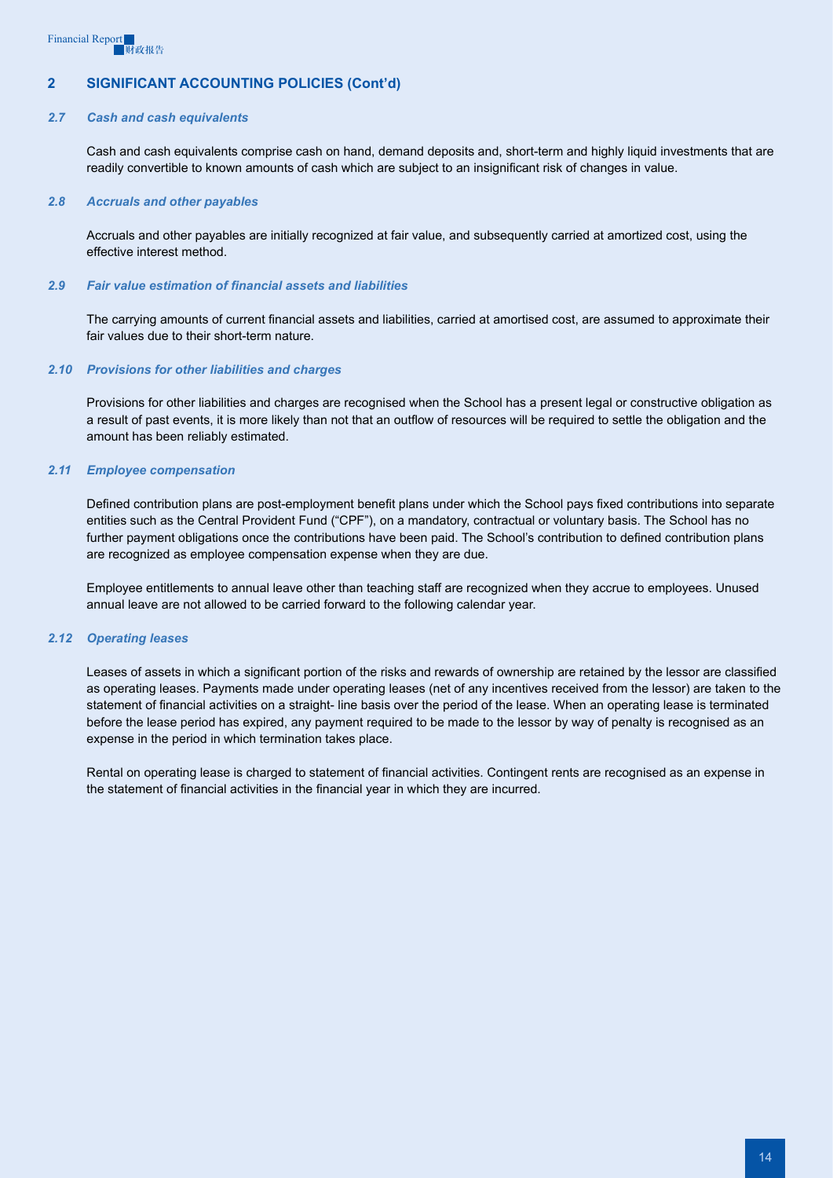#### *2.7 Cash and cash equivalents*

Cash and cash equivalents comprise cash on hand, demand deposits and, short-term and highly liquid investments that are readily convertible to known amounts of cash which are subject to an insignificant risk of changes in value.

#### *2.8 Accruals and other payables*

Accruals and other payables are initially recognized at fair value, and subsequently carried at amortized cost, using the effective interest method.

#### *2.9 Fair value estimation of financial assets and liabilities*

The carrying amounts of current financial assets and liabilities, carried at amortised cost, are assumed to approximate their fair values due to their short-term nature.

#### *2.10 Provisions for other liabilities and charges*

Provisions for other liabilities and charges are recognised when the School has a present legal or constructive obligation as a result of past events, it is more likely than not that an outflow of resources will be required to settle the obligation and the amount has been reliably estimated.

#### *2.11 Employee compensation*

Defined contribution plans are post-employment benefit plans under which the School pays fixed contributions into separate entities such as the Central Provident Fund ("CPF"), on a mandatory, contractual or voluntary basis. The School has no further payment obligations once the contributions have been paid. The School's contribution to defined contribution plans are recognized as employee compensation expense when they are due.

Employee entitlements to annual leave other than teaching staff are recognized when they accrue to employees. Unused annual leave are not allowed to be carried forward to the following calendar year.

#### *2.12 Operating leases*

Leases of assets in which a significant portion of the risks and rewards of ownership are retained by the lessor are classified as operating leases. Payments made under operating leases (net of any incentives received from the lessor) are taken to the statement of financial activities on a straight- line basis over the period of the lease. When an operating lease is terminated before the lease period has expired, any payment required to be made to the lessor by way of penalty is recognised as an expense in the period in which termination takes place.

Rental on operating lease is charged to statement of financial activities. Contingent rents are recognised as an expense in the statement of financial activities in the financial year in which they are incurred.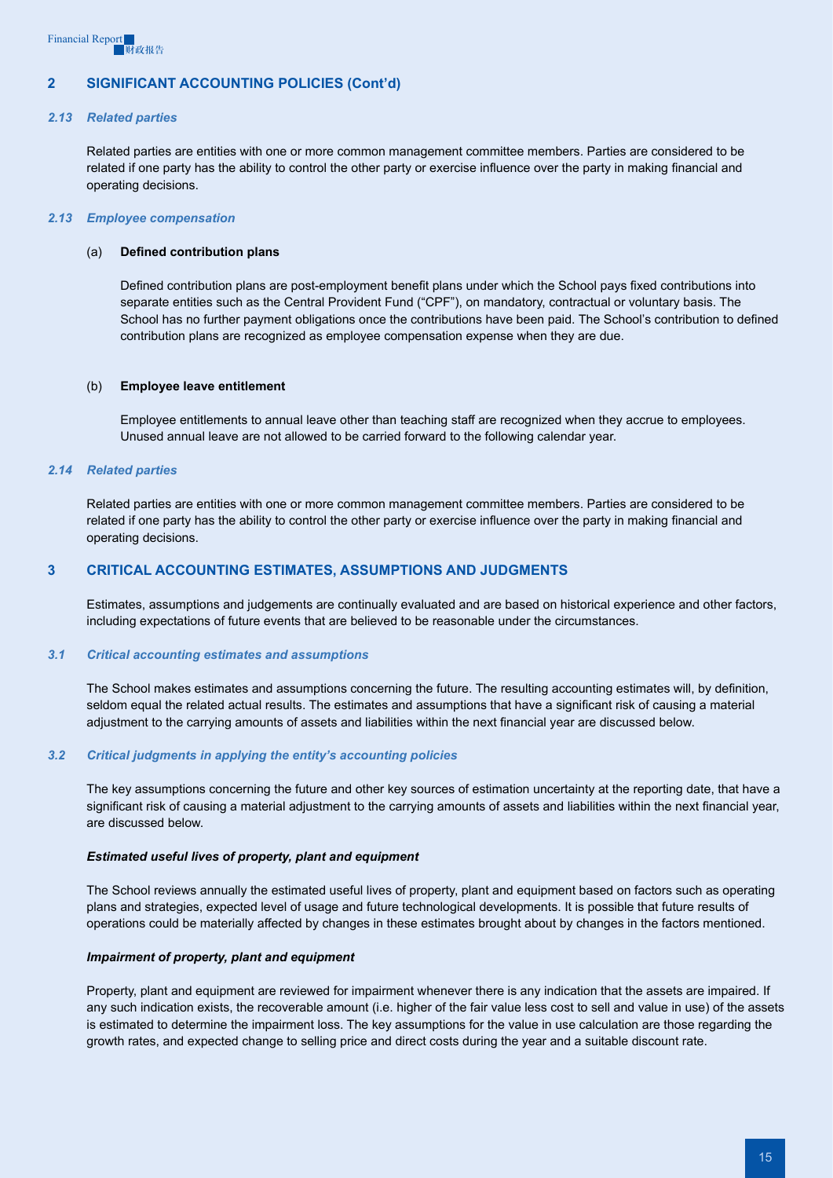#### *2.13 Related parties*

Related parties are entities with one or more common management committee members. Parties are considered to be related if one party has the ability to control the other party or exercise influence over the party in making financial and operating decisions.

#### *2.13 Employee compensation*

#### (a) **Defined contribution plans**

Defined contribution plans are post-employment benefit plans under which the School pays fixed contributions into separate entities such as the Central Provident Fund ("CPF"), on mandatory, contractual or voluntary basis. The School has no further payment obligations once the contributions have been paid. The School's contribution to defined contribution plans are recognized as employee compensation expense when they are due.

#### (b) **Employee leave entitlement**

Employee entitlements to annual leave other than teaching staff are recognized when they accrue to employees. Unused annual leave are not allowed to be carried forward to the following calendar year.

#### *2.14 Related parties*

Related parties are entities with one or more common management committee members. Parties are considered to be related if one party has the ability to control the other party or exercise influence over the party in making financial and operating decisions.

#### **3 Critical accounting estimates, assumptions and judgments**

Estimates, assumptions and judgements are continually evaluated and are based on historical experience and other factors, including expectations of future events that are believed to be reasonable under the circumstances.

#### *3.1 Critical accounting estimates and assumptions*

The School makes estimates and assumptions concerning the future. The resulting accounting estimates will, by definition, seldom equal the related actual results. The estimates and assumptions that have a significant risk of causing a material adjustment to the carrying amounts of assets and liabilities within the next financial year are discussed below.

#### *3.2 Critical judgments in applying the entity's accounting policies*

The key assumptions concerning the future and other key sources of estimation uncertainty at the reporting date, that have a significant risk of causing a material adjustment to the carrying amounts of assets and liabilities within the next financial year, are discussed below.

#### *Estimated useful lives of property, plant and equipment*

The School reviews annually the estimated useful lives of property, plant and equipment based on factors such as operating plans and strategies, expected level of usage and future technological developments. It is possible that future results of operations could be materially affected by changes in these estimates brought about by changes in the factors mentioned.

#### *Impairment of property, plant and equipment*

Property, plant and equipment are reviewed for impairment whenever there is any indication that the assets are impaired. If any such indication exists, the recoverable amount (i.e. higher of the fair value less cost to sell and value in use) of the assets is estimated to determine the impairment loss. The key assumptions for the value in use calculation are those regarding the growth rates, and expected change to selling price and direct costs during the year and a suitable discount rate.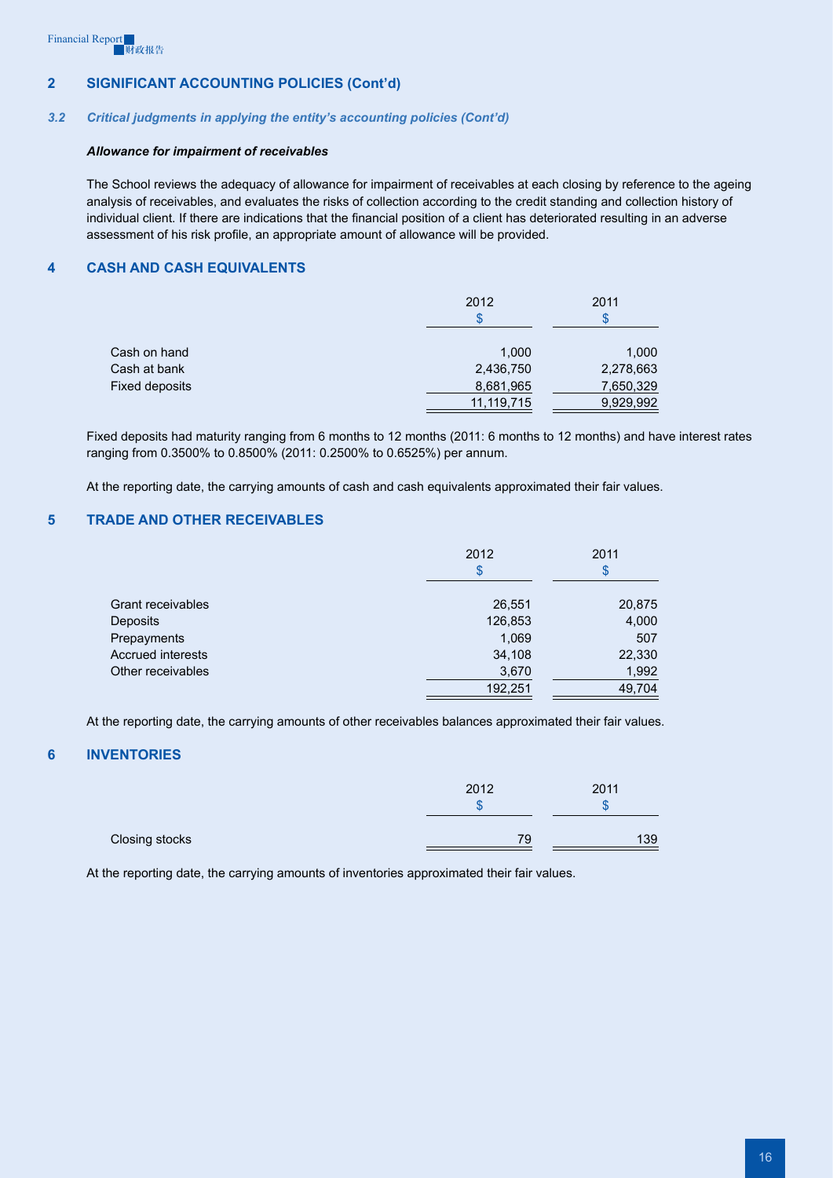#### *3.2 Critical judgments in applying the entity's accounting policies (Cont'd)*

#### *Allowance for impairment of receivables*

The School reviews the adequacy of allowance for impairment of receivables at each closing by reference to the ageing analysis of receivables, and evaluates the risks of collection according to the credit standing and collection history of individual client. If there are indications that the financial position of a client has deteriorated resulting in an adverse assessment of his risk profile, an appropriate amount of allowance will be provided.

## **4 Cash and cash equivalents**

|                | 2012         | 2011      |
|----------------|--------------|-----------|
|                | S            | \$        |
| Cash on hand   | 1,000        | 1,000     |
| Cash at bank   | 2,436,750    | 2,278,663 |
| Fixed deposits | 8,681,965    | 7,650,329 |
|                | 11, 119, 715 | 9,929,992 |

Fixed deposits had maturity ranging from 6 months to 12 months (2011: 6 months to 12 months) and have interest rates ranging from 0.3500% to 0.8500% (2011: 0.2500% to 0.6525%) per annum.

At the reporting date, the carrying amounts of cash and cash equivalents approximated their fair values.

## **5 Trade and other receivables**

|                   | 2012<br>\$ | 2011<br>\$ |
|-------------------|------------|------------|
| Grant receivables | 26,551     | 20,875     |
| <b>Deposits</b>   | 126,853    | 4,000      |
| Prepayments       | 1,069      | 507        |
| Accrued interests | 34,108     | 22,330     |
| Other receivables | 3,670      | 1,992      |
|                   | 192,251    | 49,704     |

At the reporting date, the carrying amounts of other receivables balances approximated their fair values.

### **6 Inventories**

|                | 2012<br>- 13 | 2011<br> |
|----------------|--------------|----------|
| Closing stocks | 79           | 139      |

At the reporting date, the carrying amounts of inventories approximated their fair values.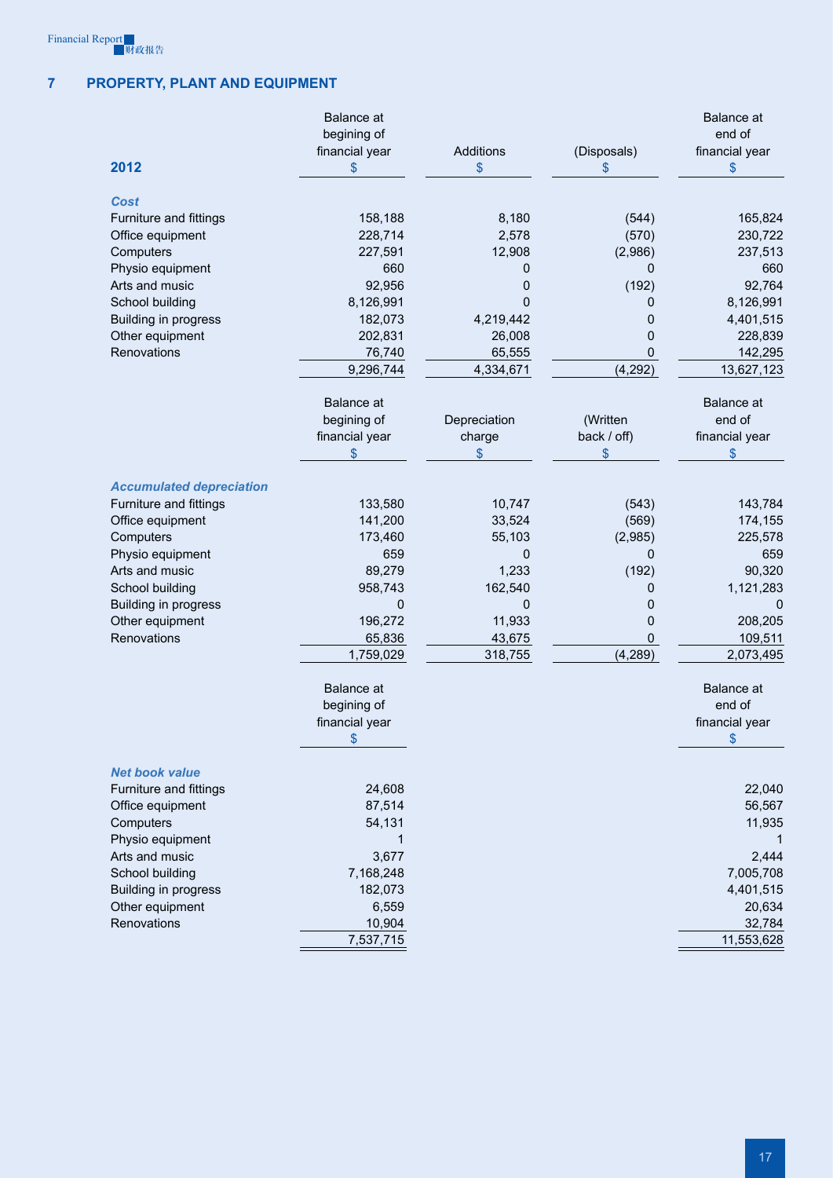

# **7 Property, plant and equipment**

|                                 | <b>Balance</b> at<br>begining of<br>financial year | Additions    | (Disposals) | <b>Balance</b> at<br>end of<br>financial year |
|---------------------------------|----------------------------------------------------|--------------|-------------|-----------------------------------------------|
| 2012                            | \$                                                 | \$           | \$          | \$                                            |
| Cost                            |                                                    |              |             |                                               |
| Furniture and fittings          | 158,188                                            | 8,180        | (544)       | 165,824                                       |
| Office equipment                | 228,714                                            | 2,578        | (570)       | 230,722                                       |
| Computers                       | 227,591                                            | 12,908       | (2,986)     | 237,513                                       |
| Physio equipment                | 660                                                | 0            | 0           | 660                                           |
| Arts and music                  | 92,956                                             | 0            | (192)       | 92,764                                        |
| School building                 | 8,126,991                                          | 0            | 0           | 8,126,991                                     |
| Building in progress            | 182,073                                            | 4,219,442    | 0           | 4,401,515                                     |
| Other equipment                 | 202,831                                            | 26,008       | 0           | 228,839                                       |
| Renovations                     | 76,740                                             | 65,555       | 0           | 142,295                                       |
|                                 | 9,296,744                                          | 4,334,671    | (4, 292)    | 13,627,123                                    |
|                                 | Balance at                                         |              |             | <b>Balance</b> at                             |
|                                 | begining of                                        | Depreciation | (Written    | end of                                        |
|                                 | financial year                                     | charge       | back / off) | financial year                                |
|                                 | \$                                                 | \$           | \$          | \$                                            |
| <b>Accumulated depreciation</b> |                                                    |              |             |                                               |
| Furniture and fittings          | 133,580                                            | 10,747       | (543)       | 143,784                                       |
| Office equipment                | 141,200                                            | 33,524       | (569)       | 174,155                                       |
| Computers                       | 173,460                                            | 55,103       | (2,985)     | 225,578                                       |
| Physio equipment                | 659                                                | 0            | 0           | 659                                           |
| Arts and music                  | 89,279                                             | 1,233        | (192)       | 90,320                                        |
| School building                 | 958,743                                            | 162,540      | 0           | 1,121,283                                     |
| Building in progress            | 0                                                  | 0            | 0           | 0                                             |
| Other equipment                 | 196,272                                            | 11,933       | 0           | 208,205                                       |
| Renovations                     | 65,836                                             | 43,675       | 0           | 109,511                                       |
|                                 | 1,759,029                                          | 318,755      | (4, 289)    | 2,073,495                                     |
|                                 | <b>Balance</b> at                                  |              |             | <b>Balance</b> at                             |
|                                 | begining of                                        |              |             | end of                                        |
|                                 | financial year                                     |              |             | financial year                                |
|                                 | \$                                                 |              |             | \$                                            |
| <b>Net book value</b>           |                                                    |              |             |                                               |
| Furniture and fittings          | 24,608                                             |              |             | 22,040                                        |
| Office equipment                | 87,514                                             |              |             | 56,567                                        |
| Computers                       | 54,131                                             |              |             | 11,935                                        |
| Physio equipment                | 1                                                  |              |             | 1                                             |
| Arts and music                  | 3,677                                              |              |             | 2,444                                         |
| School building                 | 7,168,248                                          |              |             | 7,005,708                                     |
| Building in progress            | 182,073                                            |              |             | 4,401,515                                     |
| Other equipment                 | 6,559                                              |              |             | 20,634                                        |
| Renovations                     | 10,904                                             |              |             | 32,784                                        |
|                                 | 7,537,715                                          |              |             | 11,553,628                                    |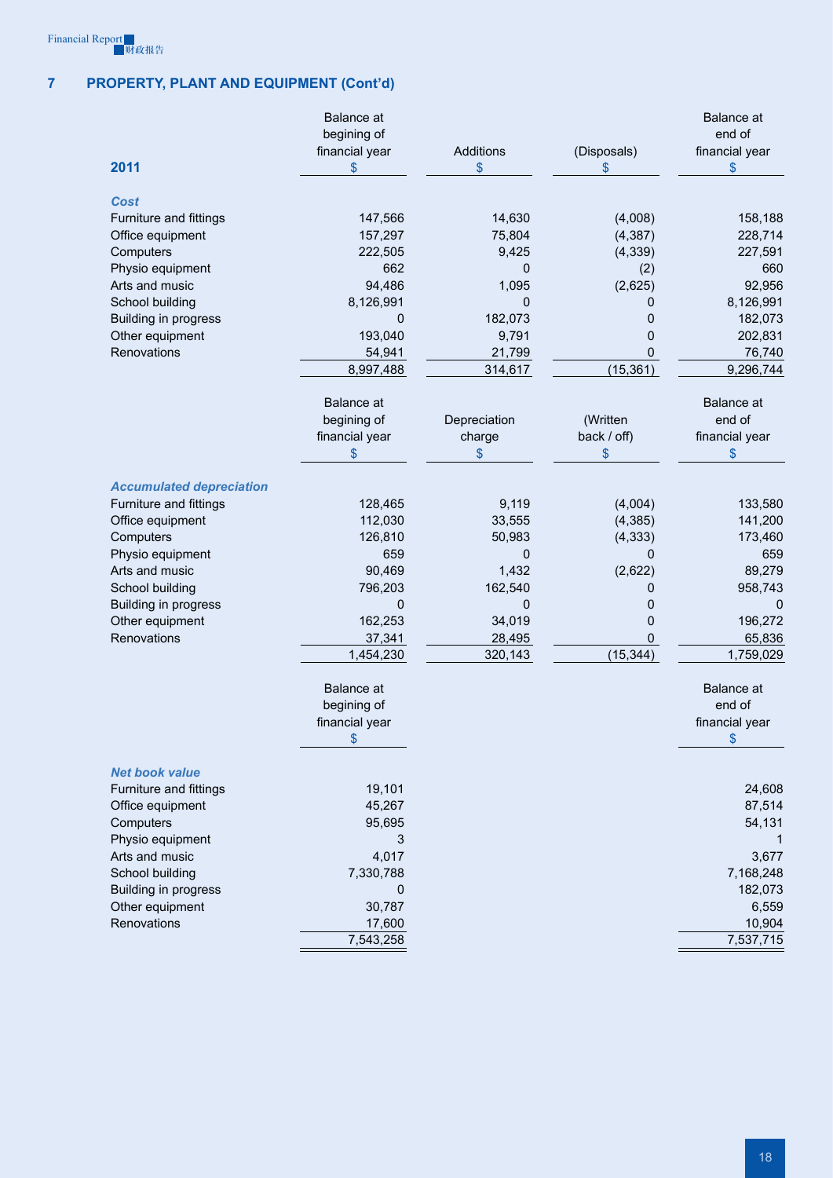# **7 Property, plant and equipment (Cont'd)**

| 2011                            | Balance at<br>begining of<br>financial year<br>\$ | Additions<br>\$   | (Disposals)<br>\$ | <b>Balance</b> at<br>end of<br>financial year<br>\$ |
|---------------------------------|---------------------------------------------------|-------------------|-------------------|-----------------------------------------------------|
|                                 |                                                   |                   |                   |                                                     |
| <b>Cost</b>                     |                                                   |                   |                   |                                                     |
| Furniture and fittings          | 147,566                                           | 14,630            | (4,008)           | 158,188                                             |
| Office equipment<br>Computers   | 157,297<br>222,505                                | 75,804<br>9,425   | (4, 387)          | 228,714<br>227,591                                  |
| Physio equipment                | 662                                               | $\mathbf 0$       | (4, 339)<br>(2)   | 660                                                 |
| Arts and music                  | 94,486                                            | 1,095             | (2,625)           | 92,956                                              |
| School building                 | 8,126,991                                         | $\mathbf 0$       | 0                 | 8,126,991                                           |
| Building in progress            | $\mathbf 0$                                       | 182,073           | 0                 | 182,073                                             |
| Other equipment                 | 193,040                                           | 9,791             | 0                 | 202,831                                             |
| Renovations                     | 54,941                                            | 21,799            | 0                 | 76,740                                              |
|                                 | 8,997,488                                         | 314,617           | (15, 361)         | 9,296,744                                           |
|                                 | Balance at                                        |                   |                   | <b>Balance</b> at                                   |
|                                 | begining of                                       | Depreciation      | (Written          | end of                                              |
|                                 | financial year                                    | charge            | back / off)       | financial year                                      |
|                                 | \$                                                | \$                | \$                | \$                                                  |
| <b>Accumulated depreciation</b> |                                                   |                   |                   |                                                     |
| Furniture and fittings          | 128,465                                           | 9,119             | (4,004)           | 133,580                                             |
| Office equipment                | 112,030                                           | 33,555            | (4, 385)          | 141,200                                             |
| Computers                       | 126,810                                           | 50,983            | (4, 333)          | 173,460                                             |
| Physio equipment                | 659                                               | $\mathbf 0$       | 0                 | 659                                                 |
| Arts and music                  | 90,469                                            | 1,432             | (2,622)           | 89,279                                              |
| School building                 | 796,203                                           | 162,540           | 0                 | 958,743                                             |
| Building in progress            | $\Omega$                                          | 0                 | 0                 | 0                                                   |
| Other equipment                 | 162,253                                           | 34,019            | 0                 | 196,272                                             |
| Renovations                     | 37,341<br>1,454,230                               | 28,495<br>320,143 | 0<br>(15, 344)    | 65,836<br>1,759,029                                 |
|                                 | Balance at                                        |                   |                   | <b>Balance</b> at                                   |
|                                 | begining of                                       |                   |                   | end of                                              |
|                                 | financial year                                    |                   |                   | financial year                                      |
|                                 | \$                                                |                   |                   | \$                                                  |
| <b>Net book value</b>           |                                                   |                   |                   |                                                     |
| Furniture and fittings          | 19,101                                            |                   |                   | 24,608                                              |
| Office equipment                | 45,267                                            |                   |                   | 87,514                                              |
| Computers                       | 95,695                                            |                   |                   | 54,131                                              |
| Physio equipment                | 3                                                 |                   |                   |                                                     |
| Arts and music                  | 4,017                                             |                   |                   | 3,677                                               |
| School building                 | 7,330,788                                         |                   |                   | 7,168,248                                           |
| Building in progress            | 0                                                 |                   |                   | 182,073                                             |
| Other equipment                 | 30,787                                            |                   |                   | 6,559                                               |
| Renovations                     | 17,600                                            |                   |                   | 10,904                                              |
|                                 | 7,543,258                                         |                   |                   | 7,537,715                                           |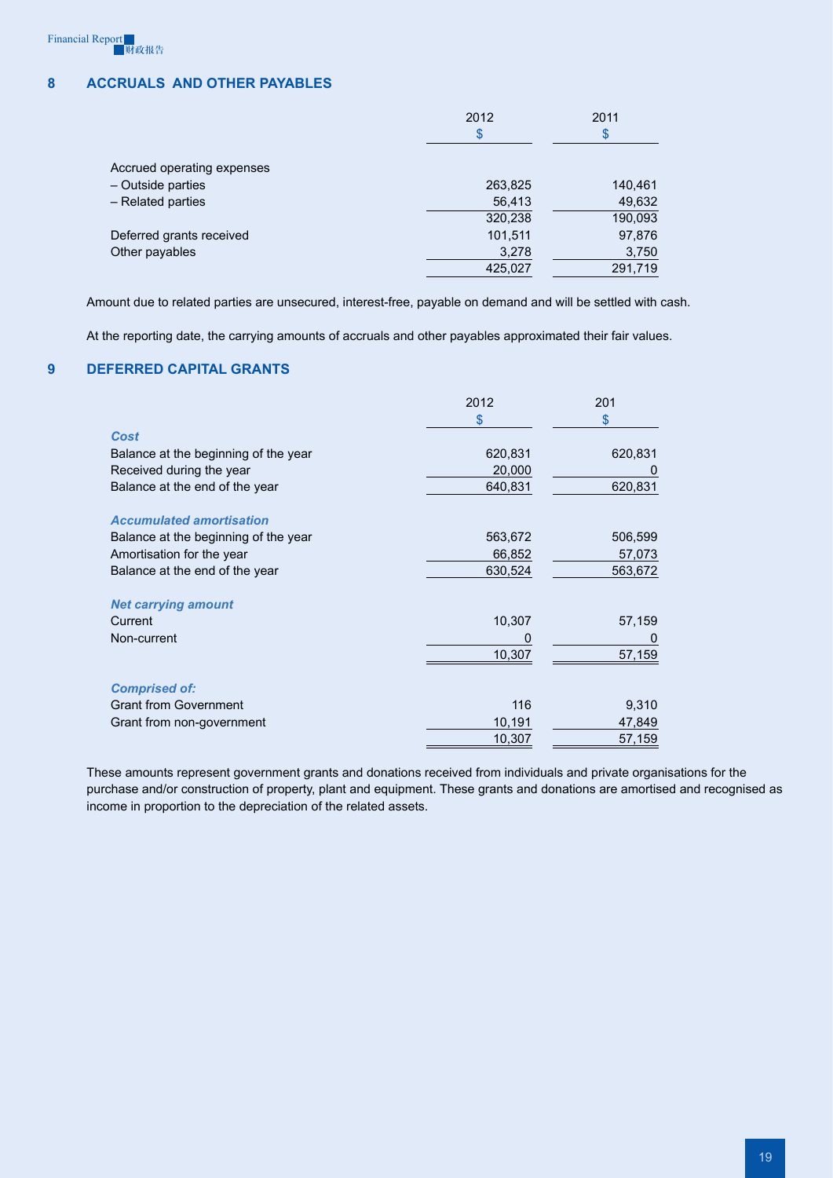

# **8 Accruals and other payables**

|                            | 2012<br>\$ | 2011<br>\$ |
|----------------------------|------------|------------|
| Accrued operating expenses |            |            |
| - Outside parties          | 263,825    | 140,461    |
| - Related parties          | 56,413     | 49,632     |
|                            | 320,238    | 190,093    |
| Deferred grants received   | 101,511    | 97,876     |
| Other payables             | 3,278      | 3,750      |
|                            | 425,027    | 291,719    |
|                            |            |            |

Amount due to related parties are unsecured, interest-free, payable on demand and will be settled with cash.

At the reporting date, the carrying amounts of accruals and other payables approximated their fair values.

## **9 Deferred capital grants**

|                                      | 2012    | 201     |
|--------------------------------------|---------|---------|
|                                      | \$      | \$      |
| Cost                                 |         |         |
| Balance at the beginning of the year | 620,831 | 620,831 |
| Received during the year             | 20,000  | 0       |
| Balance at the end of the year       | 640,831 | 620,831 |
| <b>Accumulated amortisation</b>      |         |         |
| Balance at the beginning of the year | 563,672 | 506,599 |
| Amortisation for the year            | 66,852  | 57,073  |
| Balance at the end of the year       | 630,524 | 563,672 |
| <b>Net carrying amount</b>           |         |         |
| Current                              | 10,307  | 57,159  |
| Non-current                          | 0       | 0       |
|                                      | 10,307  | 57,159  |
| <b>Comprised of:</b>                 |         |         |
| <b>Grant from Government</b>         | 116     | 9,310   |
| Grant from non-government            | 10,191  | 47,849  |
|                                      | 10,307  | 57,159  |
|                                      |         |         |

These amounts represent government grants and donations received from individuals and private organisations for the purchase and/or construction of property, plant and equipment. These grants and donations are amortised and recognised as income in proportion to the depreciation of the related assets.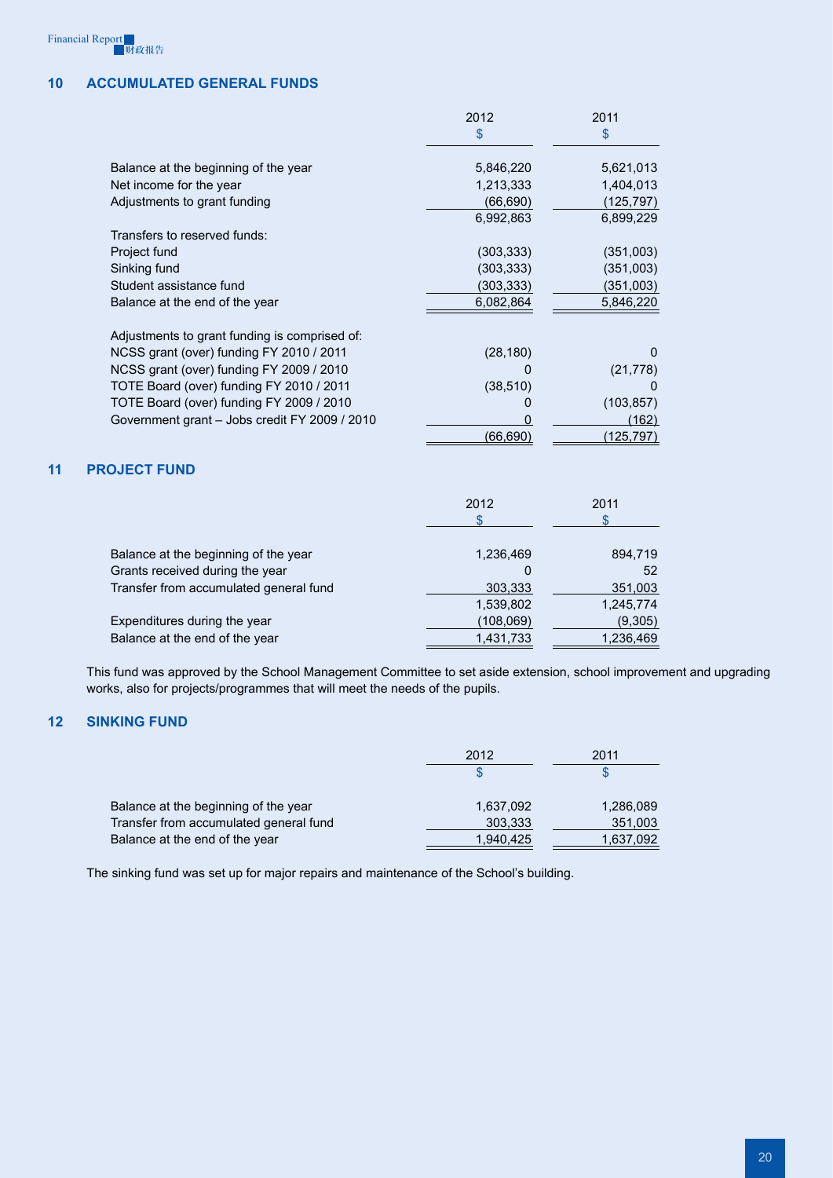

## **10 Accumulated general funds**

|    |                                               | 2012            | 2011             |
|----|-----------------------------------------------|-----------------|------------------|
|    |                                               | \$              | \$               |
|    | Balance at the beginning of the year          | 5,846,220       | 5,621,013        |
|    | Net income for the year                       | 1,213,333       | 1,404,013        |
|    | Adjustments to grant funding                  | (66, 690)       | (125, 797)       |
|    |                                               | 6,992,863       | 6,899,229        |
|    | Transfers to reserved funds:                  |                 |                  |
|    | Project fund                                  | (303, 333)      | (351,003)        |
|    | Sinking fund                                  | (303, 333)      | (351,003)        |
|    | Student assistance fund                       | (303, 333)      | (351,003)        |
|    | Balance at the end of the year                | 6,082,864       | 5,846,220        |
|    | Adjustments to grant funding is comprised of: |                 |                  |
|    | NCSS grant (over) funding FY 2010 / 2011      | (28, 180)       | <sup>0</sup>     |
|    | NCSS grant (over) funding FY 2009 / 2010      | 0               | (21, 778)        |
|    | TOTE Board (over) funding FY 2010 / 2011      | (38, 510)       | <sup>0</sup>     |
|    | TOTE Board (over) funding FY 2009 / 2010      | 0               | (103, 857)       |
|    | Government grant - Jobs credit FY 2009 / 2010 | O               | (162)            |
|    |                                               | <u>(66,690)</u> | <u>(125,797)</u> |
| 11 | <b>PROJECT FUND</b>                           |                 |                  |

|                                        | 2012      | 2011      |
|----------------------------------------|-----------|-----------|
| Balance at the beginning of the year   | 1,236,469 | 894,719   |
| Grants received during the year        | 0         | 52        |
| Transfer from accumulated general fund | 303,333   | 351,003   |
|                                        | 1,539,802 | 1,245,774 |
| Expenditures during the year           | (108,069) | (9,305)   |
| Balance at the end of the year         | 1,431,733 | 1,236,469 |

This fund was approved by the School Management Committee to set aside extension, school improvement and upgrading works, also for projects/programmes that will meet the needs of the pupils.

#### **12 Sinking fund**

|                                        | 2012      | 2011      |
|----------------------------------------|-----------|-----------|
|                                        |           | D         |
| Balance at the beginning of the year   | 1,637,092 | 1,286,089 |
| Transfer from accumulated general fund | 303,333   | 351,003   |
| Balance at the end of the year         | 1,940,425 | 1,637,092 |

The sinking fund was set up for major repairs and maintenance of the School's building.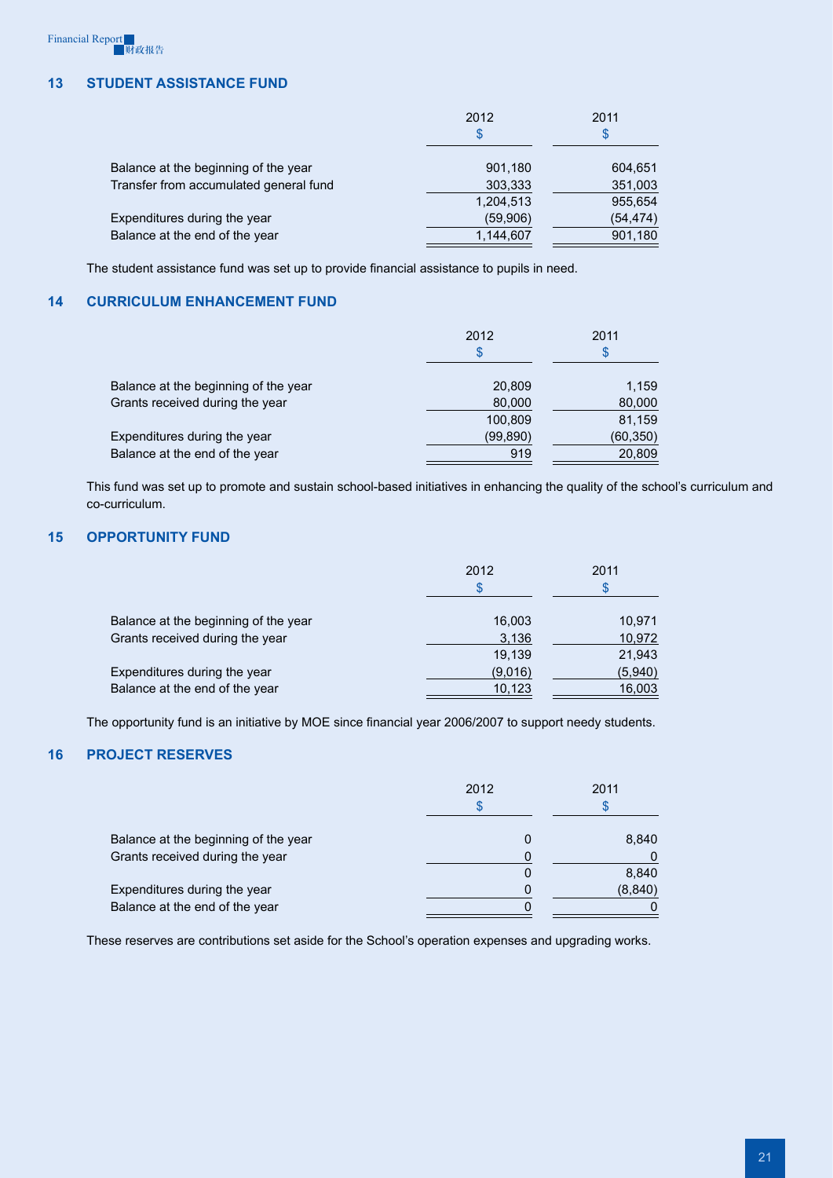

# **13 Student assistance fund**

|                                        | 2012<br>\$. | 2011<br>S |
|----------------------------------------|-------------|-----------|
| Balance at the beginning of the year   | 901,180     | 604,651   |
| Transfer from accumulated general fund | 303,333     | 351,003   |
|                                        | 1,204,513   | 955,654   |
| Expenditures during the year           | (59,906)    | (54, 474) |
| Balance at the end of the year         | 1,144,607   | 901,180   |
|                                        |             |           |

The student assistance fund was set up to provide financial assistance to pupils in need.

# **14 Curriculum enhancement fund**

|                                      | 2012      | 2011      |
|--------------------------------------|-----------|-----------|
|                                      | \$        | S         |
| Balance at the beginning of the year | 20,809    | 1,159     |
| Grants received during the year      | 80,000    | 80,000    |
|                                      | 100,809   | 81,159    |
| Expenditures during the year         | (99, 890) | (60, 350) |
| Balance at the end of the year       | 919       | 20,809    |
|                                      |           |           |

This fund was set up to promote and sustain school-based initiatives in enhancing the quality of the school's curriculum and co-curriculum.

# **15 Opportunity fund**

|                                      | 2012    | 2011    |
|--------------------------------------|---------|---------|
|                                      | S       | S       |
| Balance at the beginning of the year | 16,003  | 10,971  |
| Grants received during the year      | 3,136   | 10,972  |
|                                      | 19,139  | 21,943  |
| Expenditures during the year         | (9,016) | (5,940) |
| Balance at the end of the year       | 10,123  | 16,003  |
|                                      |         |         |

The opportunity fund is an initiative by MOE since financial year 2006/2007 to support needy students.

## **16 Project reserves**

|                                      | 2012 | 2011     |
|--------------------------------------|------|----------|
| Balance at the beginning of the year |      | 8,840    |
| Grants received during the year      |      |          |
|                                      |      | 8,840    |
| Expenditures during the year         |      | (8, 840) |
| Balance at the end of the year       |      |          |
|                                      |      |          |

These reserves are contributions set aside for the School's operation expenses and upgrading works.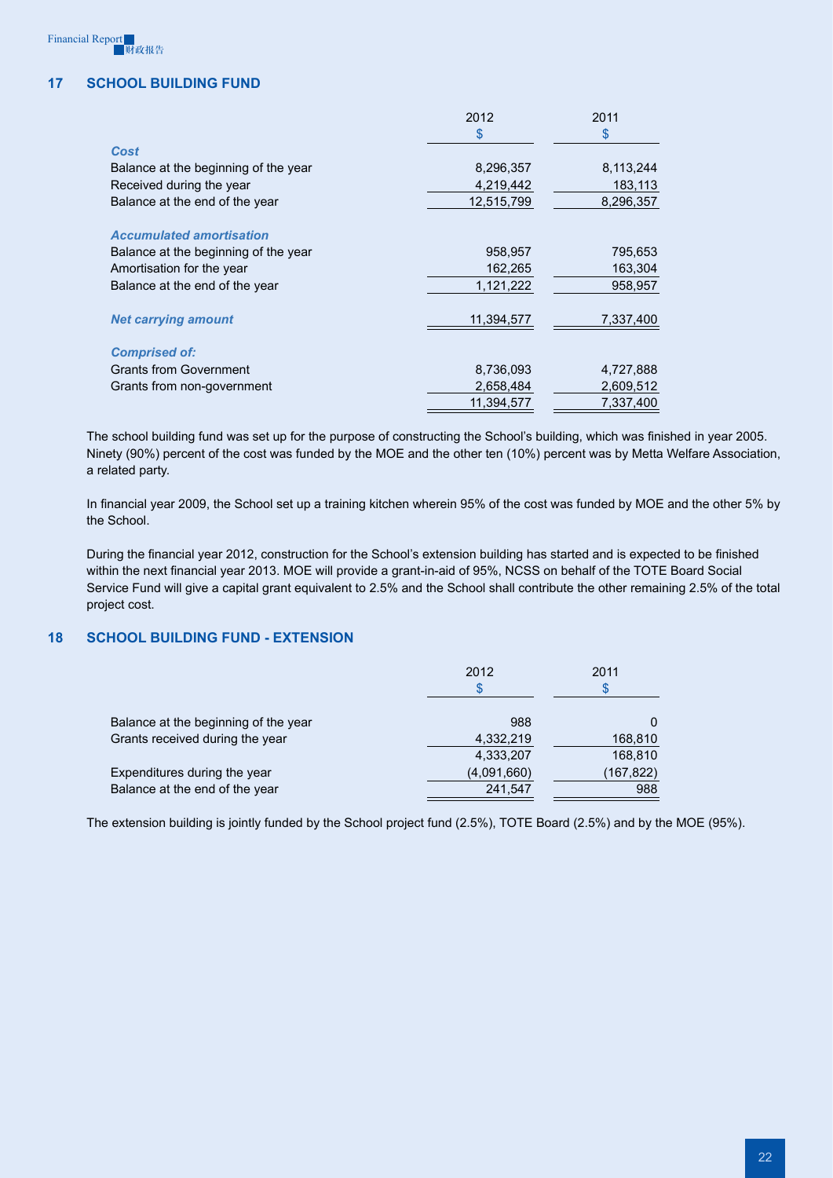

# **17 School building fund**

|                                      | 2012       | 2011        |
|--------------------------------------|------------|-------------|
|                                      | \$         | $\mathbf S$ |
| Cost                                 |            |             |
| Balance at the beginning of the year | 8,296,357  | 8,113,244   |
| Received during the year             | 4,219,442  | 183,113     |
| Balance at the end of the year       | 12,515,799 | 8,296,357   |
| <b>Accumulated amortisation</b>      |            |             |
| Balance at the beginning of the year | 958,957    | 795,653     |
| Amortisation for the year            | 162,265    | 163,304     |
| Balance at the end of the year       | 1,121,222  | 958,957     |
| <b>Net carrying amount</b>           | 11,394,577 | 7,337,400   |
| <b>Comprised of:</b>                 |            |             |
| <b>Grants from Government</b>        | 8,736,093  | 4,727,888   |
| Grants from non-government           | 2,658,484  | 2,609,512   |
|                                      | 11,394,577 | 7,337,400   |

The school building fund was set up for the purpose of constructing the School's building, which was finished in year 2005. Ninety (90%) percent of the cost was funded by the MOE and the other ten (10%) percent was by Metta Welfare Association, a related party.

In financial year 2009, the School set up a training kitchen wherein 95% of the cost was funded by MOE and the other 5% by the School.

During the financial year 2012, construction for the School's extension building has started and is expected to be finished within the next financial year 2013. MOE will provide a grant-in-aid of 95%, NCSS on behalf of the TOTE Board Social Service Fund will give a capital grant equivalent to 2.5% and the School shall contribute the other remaining 2.5% of the total project cost.

#### **18 School building fund - extension**

|                                      | 2012<br>۰D  | 2011      |
|--------------------------------------|-------------|-----------|
| Balance at the beginning of the year | 988         | 0         |
| Grants received during the year      | 4,332,219   | 168,810   |
|                                      | 4,333,207   | 168,810   |
| Expenditures during the year         | (4,091,660) | (167,822) |
| Balance at the end of the year       | 241,547     | 988       |
|                                      |             |           |

The extension building is jointly funded by the School project fund (2.5%), TOTE Board (2.5%) and by the MOE (95%).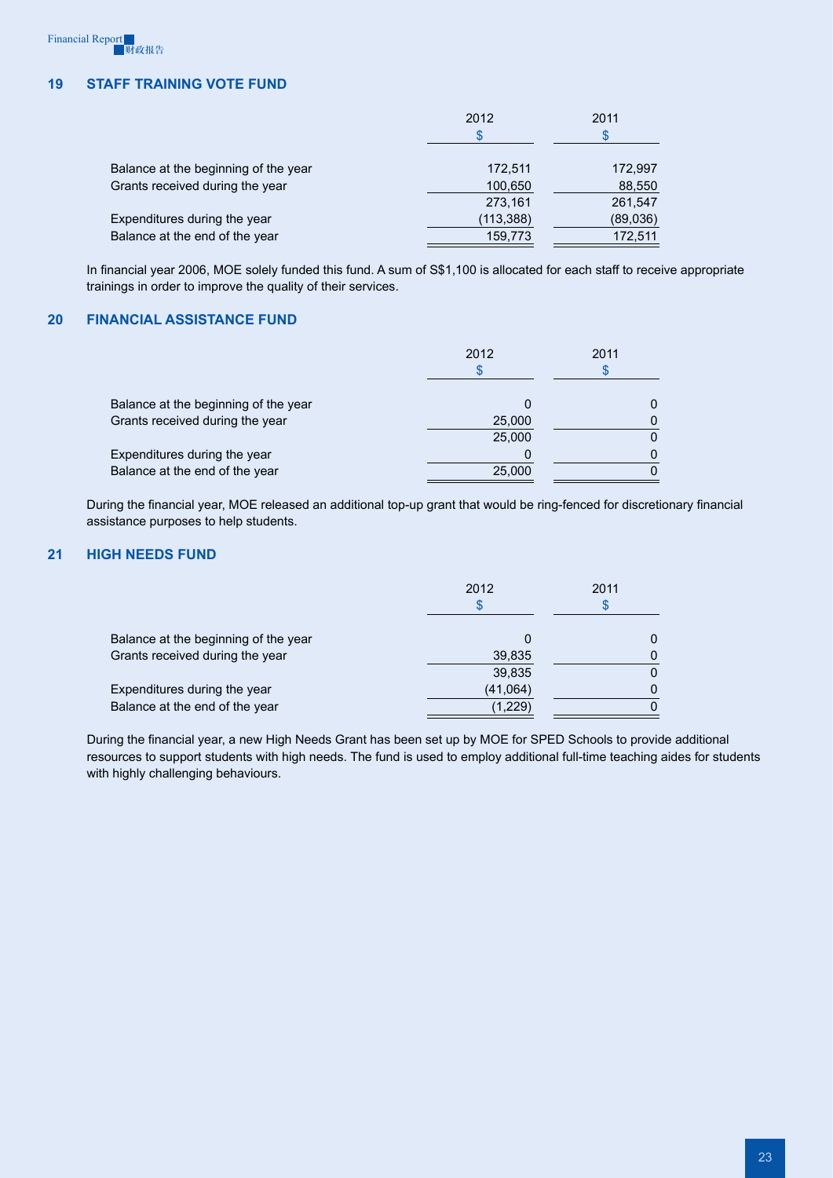

# **19 Staff training vote fund**

|                                      | 2012       | 2011     |
|--------------------------------------|------------|----------|
| Balance at the beginning of the year | 172.511    | 172,997  |
| Grants received during the year      | 100,650    | 88,550   |
|                                      | 273,161    | 261,547  |
| Expenditures during the year         | (113, 388) | (89,036) |
| Balance at the end of the year       | 159,773    | 172,511  |

In financial year 2006, MOE solely funded this fund. A sum of S\$1,100 is allocated for each staff to receive appropriate trainings in order to improve the quality of their services.

#### **20 Financial assistance fund**

|                                      | 2012   | 2011 |
|--------------------------------------|--------|------|
| Balance at the beginning of the year |        |      |
| Grants received during the year      | 25,000 |      |
|                                      | 25,000 |      |
| Expenditures during the year         |        |      |
| Balance at the end of the year       | 25,000 |      |

During the financial year, MOE released an additional top-up grant that would be ring-fenced for discretionary financial assistance purposes to help students.

#### **21 High needs fund**

|                                      | 2012      | 2011 |
|--------------------------------------|-----------|------|
| Balance at the beginning of the year | 0         | 0    |
| Grants received during the year      | 39,835    | 0    |
|                                      | 39,835    |      |
| Expenditures during the year         | (41, 064) | 0    |
| Balance at the end of the year       | (1,229)   |      |
|                                      |           |      |

During the financial year, a new High Needs Grant has been set up by MOE for SPED Schools to provide additional resources to support students with high needs. The fund is used to employ additional full-time teaching aides for students with highly challenging behaviours.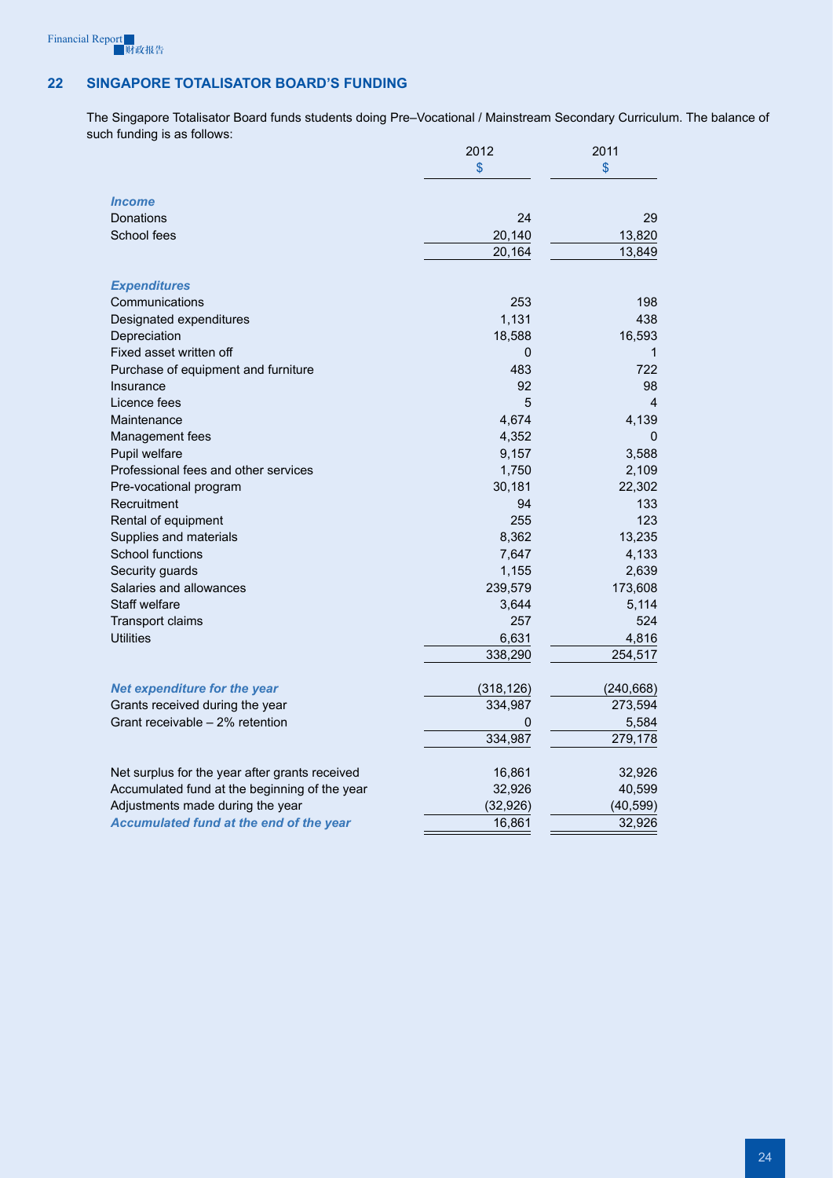

# **22 Singapore Totalisator Board's funding**

The Singapore Totalisator Board funds students doing Pre–Vocational / Mainstream Secondary Curriculum. The balance of such funding is as follows:

|                                                | 2012       | 2011           |
|------------------------------------------------|------------|----------------|
|                                                | \$         | \$             |
|                                                |            |                |
| <b>Income</b><br><b>Donations</b>              | 24         | 29             |
| School fees                                    | 20,140     | 13,820         |
|                                                | 20,164     | 13,849         |
| <b>Expenditures</b>                            |            |                |
| Communications                                 | 253        | 198            |
| Designated expenditures                        | 1,131      | 438            |
| Depreciation                                   | 18,588     | 16,593         |
| Fixed asset written off                        | 0          | 1              |
| Purchase of equipment and furniture            | 483        | 722            |
| Insurance                                      | 92         | 98             |
| Licence fees                                   | 5          | $\overline{4}$ |
| Maintenance                                    | 4,674      | 4,139          |
| Management fees                                | 4,352      | 0              |
| Pupil welfare                                  | 9,157      | 3,588          |
| Professional fees and other services           | 1,750      | 2,109          |
| Pre-vocational program                         | 30,181     | 22,302         |
| Recruitment                                    | 94         | 133            |
| Rental of equipment                            | 255        | 123            |
| Supplies and materials                         | 8,362      | 13,235         |
| School functions                               | 7,647      | 4,133          |
| Security guards                                | 1,155      | 2,639          |
| Salaries and allowances                        | 239,579    | 173,608        |
| Staff welfare                                  | 3,644      | 5,114          |
| Transport claims                               | 257        | 524            |
| <b>Utilities</b>                               | 6,631      | 4,816          |
|                                                | 338,290    | 254,517        |
| Net expenditure for the year                   | (318, 126) | (240, 668)     |
| Grants received during the year                | 334,987    | 273,594        |
| Grant receivable - 2% retention                | 0          | 5,584          |
|                                                | 334,987    | 279,178        |
| Net surplus for the year after grants received | 16,861     | 32,926         |
| Accumulated fund at the beginning of the year  | 32,926     | 40,599         |
| Adjustments made during the year               | (32, 926)  | (40, 599)      |
| Accumulated fund at the end of the year        | 16,861     | 32,926         |
|                                                |            |                |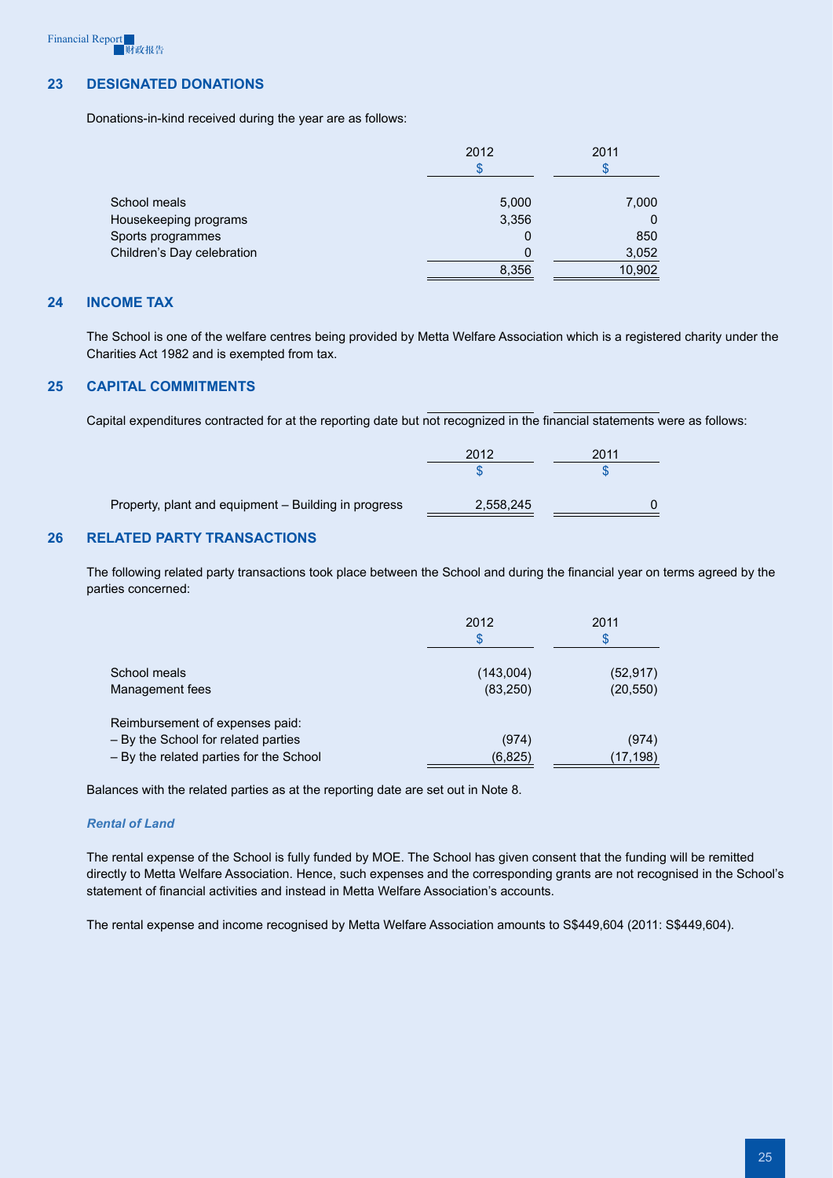# **23 Designated donations**

Donations-in-kind received during the year are as follows:

|                            | 2012  | 2011   |
|----------------------------|-------|--------|
| School meals               | 5,000 | 7,000  |
| Housekeeping programs      | 3,356 | 0      |
| Sports programmes          | 0     | 850    |
| Children's Day celebration | 0     | 3,052  |
|                            | 8,356 | 10,902 |

### **24 Income tax**

The School is one of the welfare centres being provided by Metta Welfare Association which is a registered charity under the Charities Act 1982 and is exempted from tax.

#### **25 Capital commitments**

Capital expenditures contracted for at the reporting date but not recognized in the financial statements were as follows:

|                                                      | 2012      | 2011 |
|------------------------------------------------------|-----------|------|
|                                                      |           |      |
|                                                      |           |      |
| Property, plant and equipment - Building in progress | 2,558,245 |      |

#### **26 Related party transactions**

The following related party transactions took place between the School and during the financial year on terms agreed by the parties concerned:

|                                         | 2012<br>S | 2011<br>S |
|-----------------------------------------|-----------|-----------|
| School meals                            | (143,004) | (52, 917) |
| Management fees                         | (83,250)  | (20, 550) |
| Reimbursement of expenses paid:         |           |           |
| - By the School for related parties     | (974)     | (974)     |
| - By the related parties for the School | (6,825)   | (17,198)  |

Balances with the related parties as at the reporting date are set out in Note 8.

#### *Rental of Land*

The rental expense of the School is fully funded by MOE. The School has given consent that the funding will be remitted directly to Metta Welfare Association. Hence, such expenses and the corresponding grants are not recognised in the School's statement of financial activities and instead in Metta Welfare Association's accounts.

The rental expense and income recognised by Metta Welfare Association amounts to S\$449,604 (2011: S\$449,604).